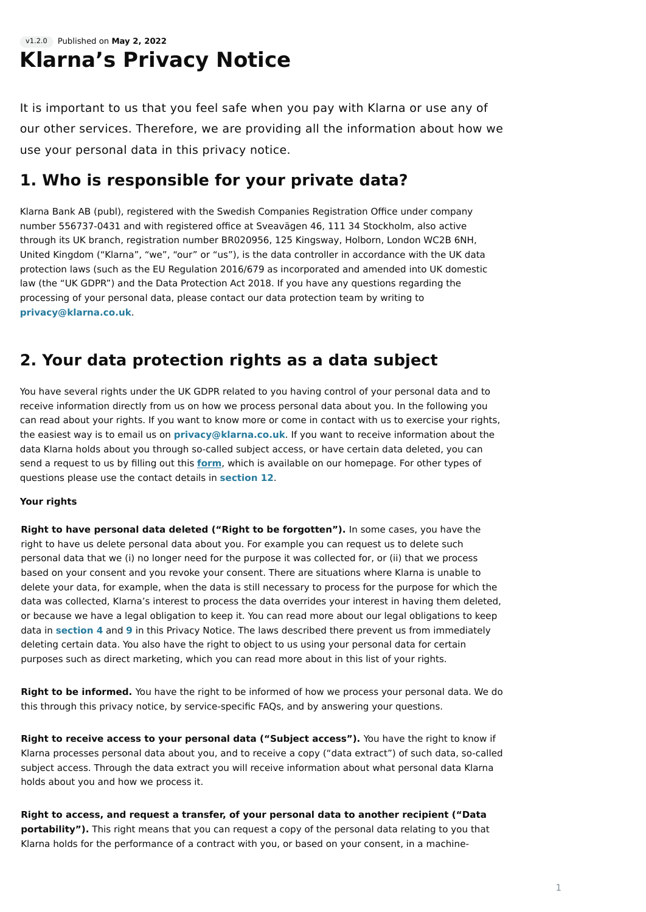# Published on **May 2, 2022** v1.2.0 **Klarna's Privacy Notice**

It is important to us that you feel safe when you pay with Klarna or use any of our other services. Therefore, we are providing all the information about how we use your personal data in this privacy notice.

# **1. Who is responsible for your private data?**

Klarna Bank AB (publ), registered with the Swedish Companies Registration Office under company number 556737-0431 and with registered office at Sveavägen 46, 111 34 Stockholm, also active through its UK branch, registration number BR020956, 125 Kingsway, Holborn, London WC2B 6NH, United Kingdom ("Klarna", "we", "our" or "us"), is the data controller in accordance with the UK data protection laws (such as the EU Regulation 2016/679 as incorporated and amended into UK domestic law (the "UK GDPR") and the Data Protection Act 2018. If you have any questions regarding the processing of your personal data, please contact our data protection team by writing to **[privacy@klarna.co.uk](mailto:privacy@klarna.co.uk)**.

# **2. Your data protection rights as a data subject**

You have several rights under the UK GDPR related to you having control of your personal data and to receive information directly from us on how we process personal data about you. In the following you can read about your rights. If you want to know more or come in contact with us to exercise your rights, the easiest way is to email us on **[privacy@klarna.co.uk](mailto:privacy@klarna.co.uk)**. If you want to receive information about the data Klarna holds about you through so-called subject access, or have certain data deleted, you can send a request to us by filling out this **[form](https://www.klarna.com/uk/my-privacy-request-form/)**, which is available on our homepage. For other types of questions please use the contact details in **[section 12](https://cdn.klarna.com/1.0/shared/content/legal/terms/0/en_gb/privacy#12)**.

### **Your rights**

**Right to have personal data deleted ("Right to be forgotten").** In some cases, you have the right to have us delete personal data about you. For example you can request us to delete such personal data that we (i) no longer need for the purpose it was collected for, or (ii) that we process based on your consent and you revoke your consent. There are situations where Klarna is unable to delete your data, for example, when the data is still necessary to process for the purpose for which the data was collected, Klarna's interest to process the data overrides your interest in having them deleted, or because we have a legal obligation to keep it. You can read more about our legal obligations to keep data in **[section 4](https://cdn.klarna.com/1.0/shared/content/legal/terms/0/en_gb/privacy#4)** and **[9](https://cdn.klarna.com/1.0/shared/content/legal/terms/0/en_gb/privacy#9)** in this Privacy Notice. The laws described there prevent us from immediately deleting certain data. You also have the right to object to us using your personal data for certain purposes such as direct marketing, which you can read more about in this list of your rights.

**Right to be informed.** You have the right to be informed of how we process your personal data. We do this through this privacy notice, by service-specific FAQs, and by answering your questions.

**Right to receive access to your personal data ("Subject access").** You have the right to know if Klarna processes personal data about you, and to receive a copy ("data extract") of such data, so-called subject access. Through the data extract you will receive information about what personal data Klarna holds about you and how we process it.

**Right to access, and request a transfer, of your personal data to another recipient ("Data portability").** This right means that you can request a copy of the personal data relating to you that Klarna holds for the performance of a contract with you, or based on your consent, in a machine-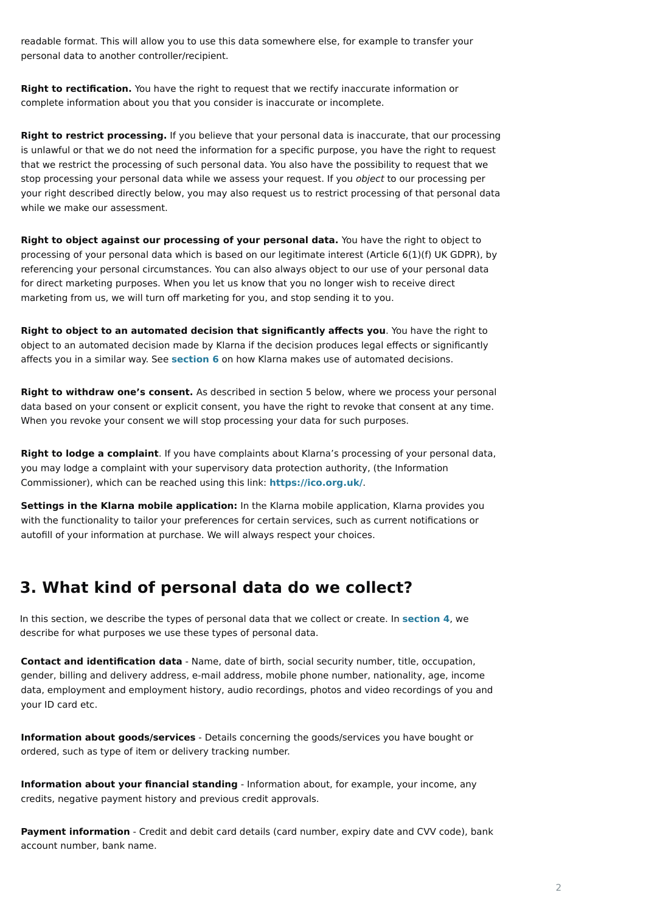# **3. What kind of personal data do we collect?**

In this section, we describe the types of personal data that we collect or create. In **[section 4](https://cdn.klarna.com/1.0/shared/content/legal/terms/0/en_gb/privacy#4)**, we describe for what purposes we use these types of personal data.

readable format. This will allow you to use this data somewhere else, for example to transfer your personal data to another controller/recipient.

**Right to rectification.** You have the right to request that we rectify inaccurate information or complete information about you that you consider is inaccurate or incomplete.

**Right to restrict processing.** If you believe that your personal data is inaccurate, that our processing is unlawful or that we do not need the information for a specific purpose, you have the right to request that we restrict the processing of such personal data. You also have the possibility to request that we stop processing your personal data while we assess your request. If you *object* to our processing per your right described directly below, you may also request us to restrict processing of that personal data while we make our assessment.

**Right to object against our processing of your personal data.** You have the right to object to processing of your personal data which is based on our legitimate interest (Article 6(1)(f) UK GDPR), by referencing your personal circumstances. You can also always object to our use of your personal data for direct marketing purposes. When you let us know that you no longer wish to receive direct marketing from us, we will turn off marketing for you, and stop sending it to you.

**Right to object to an automated decision that significantly affects you**. You have the right to object to an automated decision made by Klarna if the decision produces legal effects or significantly affects you in a similar way. See **[section 6](https://cdn.klarna.com/1.0/shared/content/legal/terms/0/en_gb/privacy#6)** on how Klarna makes use of automated decisions.

**Payment information** - Credit and debit card details (card number, expiry date and CVV code), bank account number, bank name.

**Right to withdraw one's consent.** As described in section 5 below, where we process your personal data based on your consent or explicit consent, you have the right to revoke that consent at any time. When you revoke your consent we will stop processing your data for such purposes.

**Right to lodge a complaint**. If you have complaints about Klarna's processing of your personal data, you may lodge a complaint with your supervisory data protection authority, (the Information Commissioner), which can be reached using this link: **<https://ico.org.uk/>**.

**Settings in the Klarna mobile application:** In the Klarna mobile application, Klarna provides you with the functionality to tailor your preferences for certain services, such as current notifications or autofill of your information at purchase. We will always respect your choices.

**Contact and identification data** - Name, date of birth, social security number, title, occupation, gender, billing and delivery address, e-mail address, mobile phone number, nationality, age, income data, employment and employment history, audio recordings, photos and video recordings of you and your ID card etc.

**Information about goods/services** - Details concerning the goods/services you have bought or ordered, such as type of item or delivery tracking number.

**Information about your financial standing** - Information about, for example, your income, any credits, negative payment history and previous credit approvals.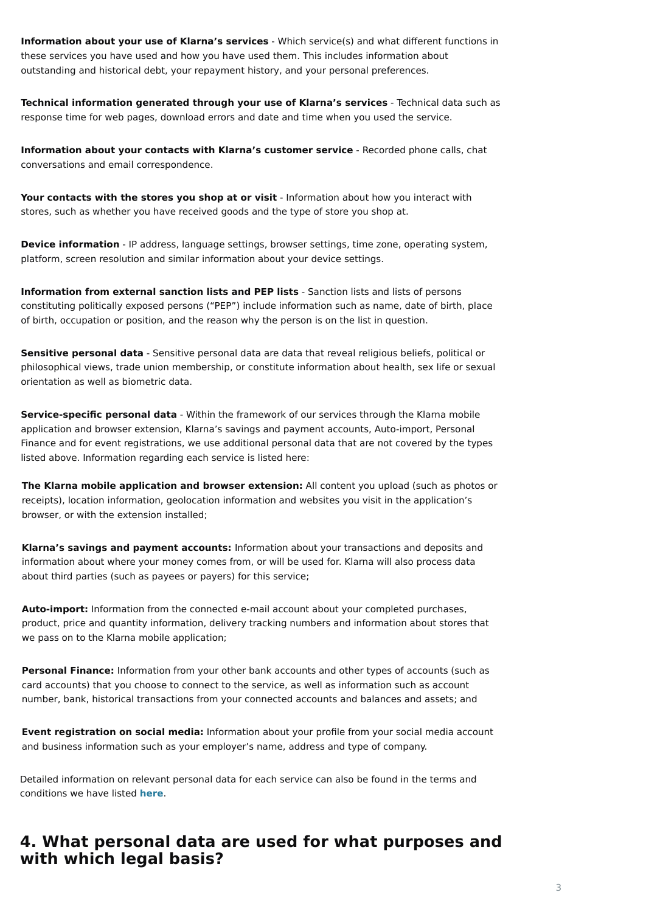Detailed information on relevant personal data for each service can also be found in the terms and conditions we have listed **[here](https://www.klarna.com/uk/terms-and-conditions/)**.

# **4. What personal data are used for what purposes and with which legal basis?**

**Information about your use of Klarna's services** - Which service(s) and what different functions in these services you have used and how you have used them. This includes information about outstanding and historical debt, your repayment history, and your personal preferences.

Your contacts with the stores you shop at or visit - Information about how you interact with stores, such as whether you have received goods and the type of store you shop at.

**Device information** - IP address, language settings, browser settings, time zone, operating system, platform, screen resolution and similar information about your device settings.

**Technical information generated through your use of Klarna's services** - Technical data such as response time for web pages, download errors and date and time when you used the service.

**Information about your contacts with Klarna's customer service** - Recorded phone calls, chat conversations and email correspondence.

**Information from external sanction lists and PEP lists** - Sanction lists and lists of persons constituting politically exposed persons ("PEP") include information such as name, date of birth, place of birth, occupation or position, and the reason why the person is on the list in question.

**Sensitive personal data** - Sensitive personal data are data that reveal religious beliefs, political or philosophical views, trade union membership, or constitute information about health, sex life or sexual orientation as well as biometric data.

**Service-specific personal data** - Within the framework of our services through the Klarna mobile application and browser extension, Klarna's savings and payment accounts, Auto-import, Personal Finance and for event registrations, we use additional personal data that are not covered by the types listed above. Information regarding each service is listed here:

**The Klarna mobile application and browser extension:** All content you upload (such as photos or receipts), location information, geolocation information and websites you visit in the application's browser, or with the extension installed;

**Klarna's savings and payment accounts:** Information about your transactions and deposits and information about where your money comes from, or will be used for. Klarna will also process data about third parties (such as payees or payers) for this service;

**Auto-import:** Information from the connected e-mail account about your completed purchases, product, price and quantity information, delivery tracking numbers and information about stores that we pass on to the Klarna mobile application;

**Personal Finance:** Information from your other bank accounts and other types of accounts (such as card accounts) that you choose to connect to the service, as well as information such as account

number, bank, historical transactions from your connected accounts and balances and assets; and

**Event registration on social media:** Information about your profile from your social media account and business information such as your employer's name, address and type of company.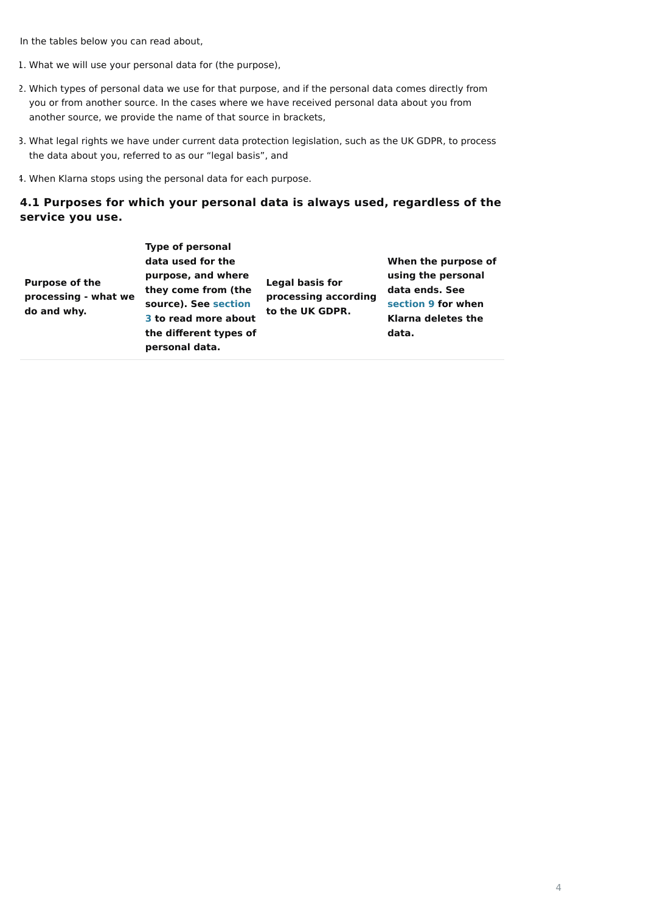In the tables below you can read about,

- 1. What we will use your personal data for (the purpose),
- 2. Which types of personal data we use for that purpose, and if the personal data comes directly from you or from another source. In the cases where we have received personal data about you from another source, we provide the name of that source in brackets,
- 3. What legal rights we have under current data protection legislation, such as the UK GDPR, to process the data about you, referred to as our "legal basis", and
- 4. When Klarna stops using the personal data for each purpose.

## **4.1 Purposes for which your personal data is always used, regardless of the service you use.**

| <b>Purpose of the</b><br>processing - what we<br>do and why. | <b>Type of personal</b><br>data used for the<br>purpose, and where<br>they come from (the<br>source). See section<br>3 to read more about<br>the different types of<br>personal data. | <b>Legal basis for</b><br>processing according<br>to the UK GDPR. | When the purpose of<br>using the personal<br>data ends. See<br>section 9 for when<br><b>Klarna deletes the</b><br>data. |
|--------------------------------------------------------------|---------------------------------------------------------------------------------------------------------------------------------------------------------------------------------------|-------------------------------------------------------------------|-------------------------------------------------------------------------------------------------------------------------|
|--------------------------------------------------------------|---------------------------------------------------------------------------------------------------------------------------------------------------------------------------------------|-------------------------------------------------------------------|-------------------------------------------------------------------------------------------------------------------------|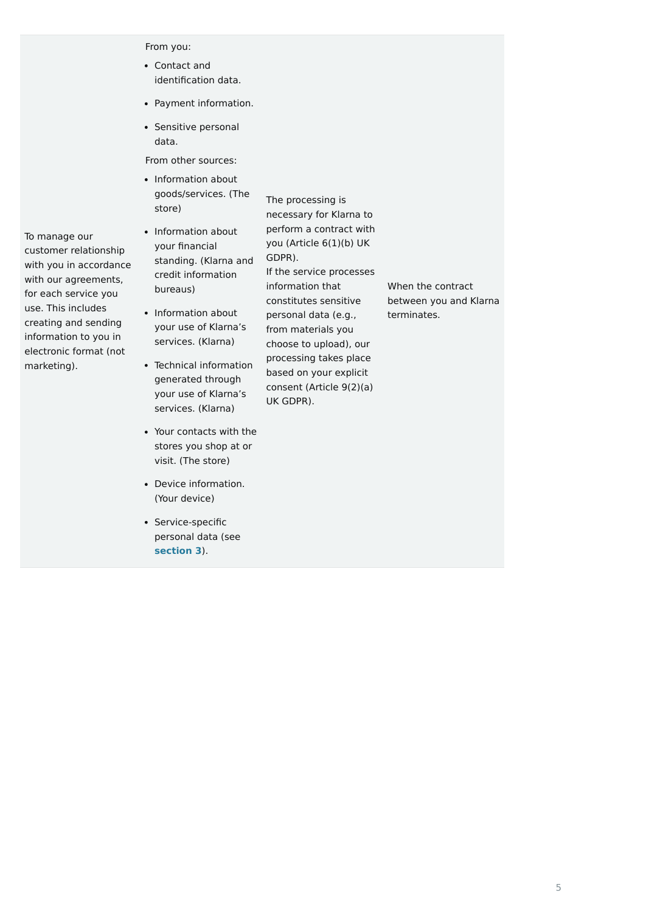To manage our customer relationship with you in accordance with our agreements, for each service you use. This includes creating and sending information to you in electronic format (not marketing).

From you:

From other sources:

• Information about goods/services. (The store)

The processing is necessary for Klarna to perform a contract with you (Article 6(1)(b) UK GDPR). If the service processes information that constitutes sensitive personal data (e.g., from materials you choose to upload), our processing takes place based on your explicit consent (Article 9(2)(a) UK GDPR).

- Information about your financial standing. (Klarna and credit information bureaus)
- Information about your use of Klarna's services. (Klarna)
- Technical information generated through your use of Klarna's services. (Klarna)
- Your contacts with the stores you shop at or visit. (The store)
- Device information. (Your device)
- Service-specific personal data (see **[section 3](https://cdn.klarna.com/1.0/shared/content/legal/terms/0/en_gb/privacy#3)**).

When the contract between you and Klarna terminates.

- Contact and identification data.
- Payment information.
- Sensitive personal data.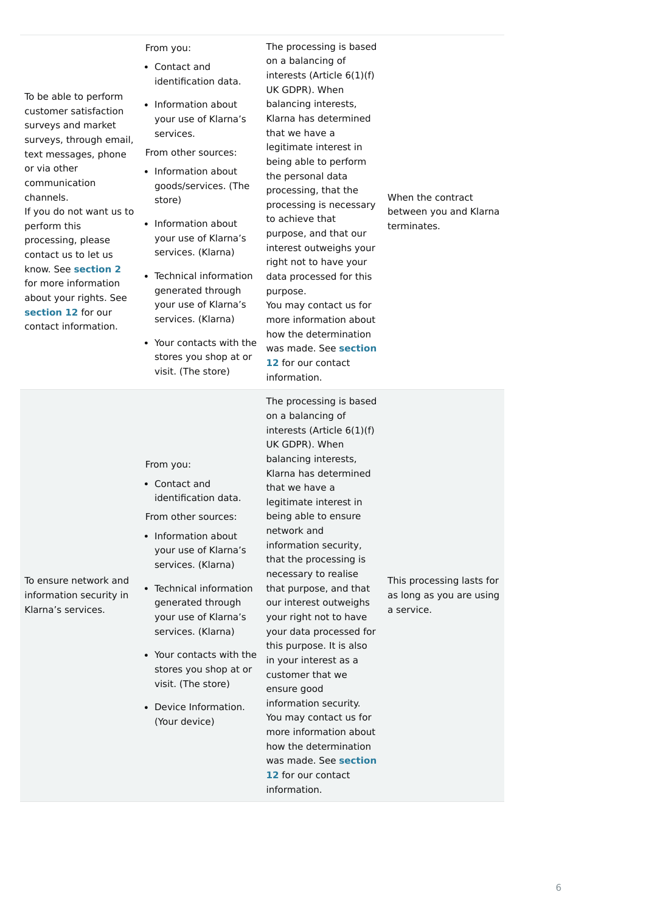| To be able to perform<br>customer satisfaction<br>surveys and market<br>surveys, through email,<br>text messages, phone<br>or via other<br>communication<br>channels.<br>If you do not want us to<br>perform this<br>processing, please<br>contact us to let us<br>know. See section 2<br>for more information<br>about your rights. See<br>section 12 for our<br>contact information. | From you:<br>• Contact and<br>identification data.<br>Information about<br>$\bullet$<br>your use of Klarna's<br>services.<br>From other sources:<br>Information about<br>$\bullet$<br>goods/services. (The<br>store)<br>• Information about<br>your use of Klarna's<br>services. (Klarna)<br>• Technical information<br>generated through<br>your use of Klarna's<br>services. (Klarna)<br>• Your contacts with the<br>stores you shop at or<br>visit. (The store) | The processing is based<br>on a balancing of<br>interests (Article $6(1)(f)$<br>UK GDPR). When<br>balancing interests,<br>Klarna has determined<br>that we have a<br>legitimate interest in<br>being able to perform<br>the personal data<br>processing, that the<br>processing is necessary<br>to achieve that<br>purpose, and that our<br>interest outweighs your<br>right not to have your<br>data processed for this<br>purpose.<br>You may contact us for<br>more information about<br>how the determination<br>was made. See section<br>12 for our contact<br>information. | When the contract<br>between you and Klarna<br>terminates.          |
|----------------------------------------------------------------------------------------------------------------------------------------------------------------------------------------------------------------------------------------------------------------------------------------------------------------------------------------------------------------------------------------|--------------------------------------------------------------------------------------------------------------------------------------------------------------------------------------------------------------------------------------------------------------------------------------------------------------------------------------------------------------------------------------------------------------------------------------------------------------------|----------------------------------------------------------------------------------------------------------------------------------------------------------------------------------------------------------------------------------------------------------------------------------------------------------------------------------------------------------------------------------------------------------------------------------------------------------------------------------------------------------------------------------------------------------------------------------|---------------------------------------------------------------------|
| To ensure network and<br>information security in<br>Klarna's services.                                                                                                                                                                                                                                                                                                                 | From you:<br>• Contact and<br>identification data.<br>From other sources:<br>• Information about<br>your use of Klarna's<br>services. (Klarna)<br>• Technical information<br>generated through<br>your use of Klarna's<br>services. (Klarna)                                                                                                                                                                                                                       | The processing is based<br>on a balancing of<br>interests (Article 6(1)(f)<br>UK GDPR). When<br>balancing interests,<br>Klarna has determined<br>that we have a<br>legitimate interest in<br>being able to ensure<br>network and<br>information security,<br>that the processing is<br>necessary to realise<br>that purpose, and that<br>our interest outweighs<br>your right not to have<br>your data processed for                                                                                                                                                             | This processing lasts for<br>as long as you are using<br>a service. |

this purpose. It is also in your interest as a customer that we

ensure good information security. You may contact us for more information about how the determination [was made. See](https://cdn.klarna.com/1.0/shared/content/legal/terms/0/en_gb/privacy#12) **section 12** for our contact information. visit. (The store) Device Information. (Your device)

Your contacts with the stores you shop at or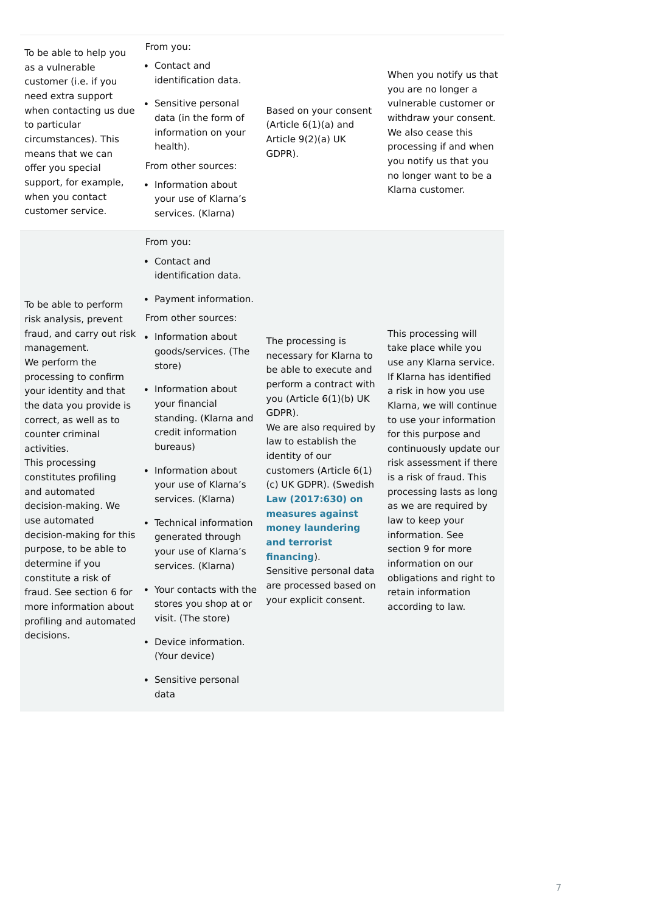• Sensitive personal

To be able to help you as a vulnerable customer (i.e. if you need extra support when contacting us due to particular circumstances). This means that we can offer you special support, for example, when you contact customer service.

(Article  $6(1)(a)$  and Article 9(2)(a) UK

From you:

From other sources:

Based on your consent

GDPR).

When you notify us that you are no longer a vulnerable customer or withdraw your consent. We also cease this processing if and when you notify us that you no longer want to be a Klarna customer.

From other sources: • Payment information.

To be able to perform risk analysis, prevent

management. We perform the

processing to confirm your identity and that the data you provide is correct, as well as to

counter criminal

activities.

This processing

constitutes profiling

and automated

decision-making. We

use automated

decision-making for this

purpose, to be able to

determine if you constitute a risk of

fraud. See section 6 for more information about

profiling and automated

decisions.

• Information about your use of Klarna's services. (Klarna)

# From you:

The processing is necessary for Klarna to be able to execute and perform a contract with you (Article 6(1)(b) UK GDPR).

We are also required by law to establish the identity of our customers (Article 6(1) (c) UK GDPR). (Swedish **[Law \(2017:630\) on](https://www.riksdagen.se/sv/dokument-lagar/dokument/svensk-forfattningssamling/lag-2017630-om-atgarder-mot-penningtvatt-och_sfs-2017-630) measures against money laundering and terrorist financing**).

Sensitive personal data are processed based on your explicit consent.

- fraud, and carry out risk • Information about goods/services. (The store)
	- Information about your financial standing. (Klarna and credit information bureaus)
	- Information about your use of Klarna's services. (Klarna)
	- Technical information generated through your use of Klarna's services. (Klarna)
	- Your contacts with the stores you shop at or visit. (The store)
	- Device information. (Your device)

This processing will take place while you use any Klarna service. If Klarna has identified a risk in how you use Klarna, we will continue to use your information for this purpose and continuously update our risk assessment if there is a risk of fraud. This processing lasts as long as we are required by law to keep your information. See section 9 for more information on our obligations and right to retain information according to law.

- Contact and identification data.
- Sensitive personal data (in the form of information on your health).

Contact and identification data.

data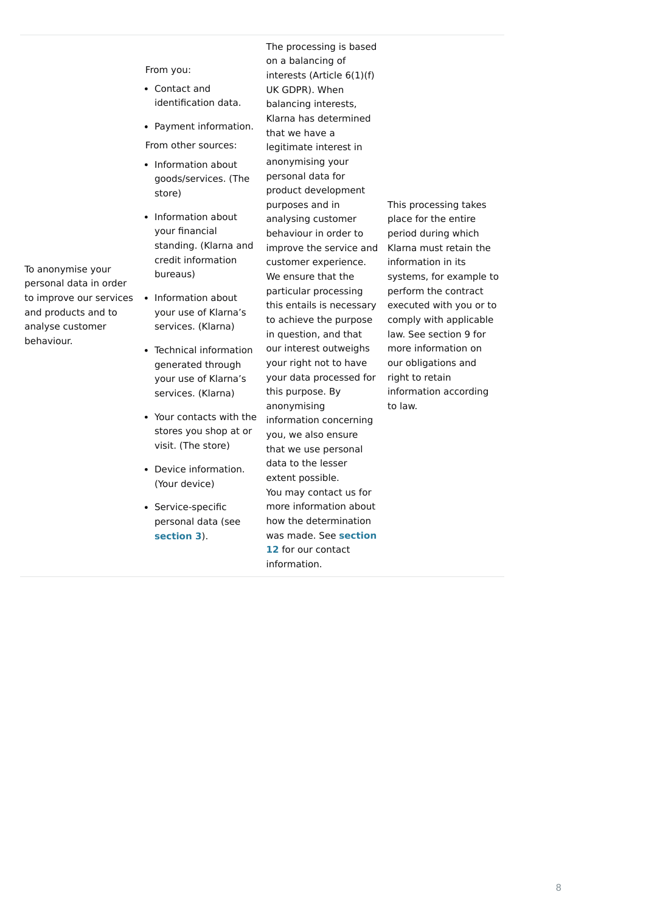To anonymise your

personal data in order to improve our services • Information about and products and to analyse customer behaviour.

From you:

The processing is based on a balancing of interests (Article 6(1)(f) UK GDPR). When balancing interests, Klarna has determined that we have a legitimate interest in anonymising your personal data for product development purposes and in analysing customer behaviour in order to improve the service and customer experience. We ensure that the particular processing this entails is necessary to achieve the purpose in question, and that our interest outweighs your right not to have your data processed for this purpose. By anonymising information concerning you, we also ensure that we use personal data to the lesser extent possible. You may contact us for more information about how the determination [was made. See](https://cdn.klarna.com/1.0/shared/content/legal/terms/0/en_gb/privacy#12) **section 12** for our contact information.

This processing takes place for the entire period during which Klarna must retain the information in its systems, for example to perform the contract executed with you or to comply with applicable law. See section 9 for more information on our obligations and right to retain information according to law.

- Contact and identification data.
- Payment information.
- From other sources:
- Information about goods/services. (The store)
- Information about your financial standing. (Klarna and credit information bureaus)
- your use of Klarna's services. (Klarna)
- Technical information generated through your use of Klarna's services. (Klarna)
- Your contacts with the stores you shop at or visit. (The store)
- Device information. (Your device)
- Service-specific personal data (see **[section 3](https://cdn.klarna.com/1.0/shared/content/legal/terms/0/en_gb/privacy#3)**).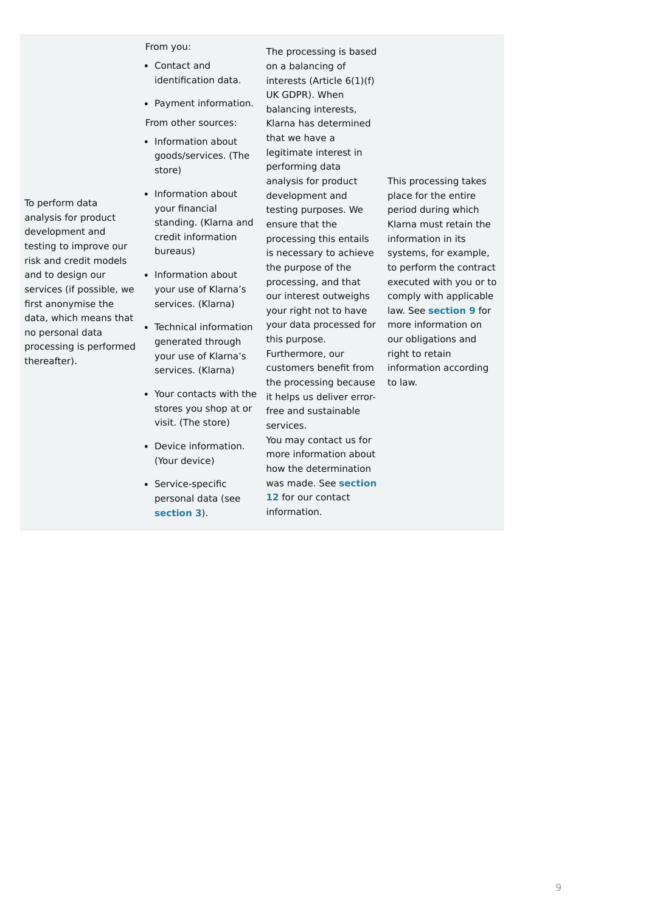To perform data

analysis for product

development and

testing to improve our risk and credit models

and to design our

services (if possible, we

first anonymise the

data, which means that

no personal data

processing is performed

thereafter).

From you:

The processing is based on a balancing of interests (Article 6(1)(f) UK GDPR). When balancing interests, Klarna has determined that we have a legitimate interest in performing data analysis for product development and testing purposes. We ensure that the processing this entails is necessary to achieve the purpose of the processing, and that our interest outweighs your right not to have your data processed for this purpose. Furthermore, our customers benefit from the processing because it helps us deliver errorfree and sustainable services. You may contact us for more information about how the determination [was made. See](https://cdn.klarna.com/1.0/shared/content/legal/terms/0/en_gb/privacy#12) **section**

**12** for our contact

information.

This processing takes place for the entire period during which Klarna must retain the information in its systems, for example, to perform the contract executed with you or to comply with applicable law. See **[section 9](https://cdn.klarna.com/1.0/shared/content/legal/terms/0/en_gb/privacy#9)** for more information on our obligations and right to retain information according to law.

- Contact and identification data.
- From other sources: • Payment information.
- Information about goods/services. (The store)
- Information about your financial standing. (Klarna and credit information bureaus)
- Information about your use of Klarna's services. (Klarna)
- Technical information generated through your use of Klarna's services. (Klarna)
- Your contacts with the stores you shop at or visit. (The store)
- Device information. (Your device)
- Service-specific personal data (see **[section 3](https://cdn.klarna.com/1.0/shared/content/legal/terms/0/en_gb/privacy#3)**).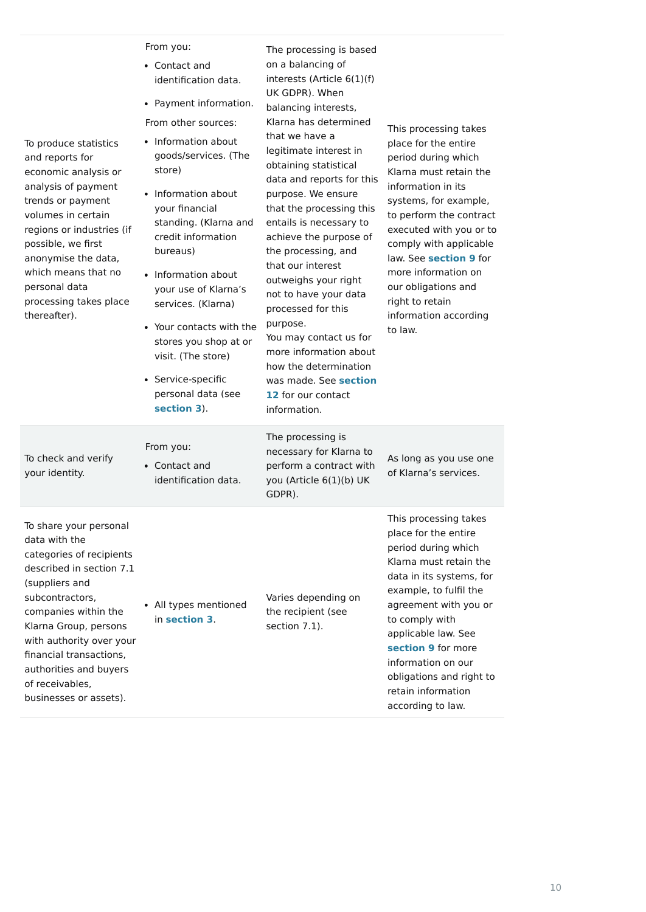| To produce statistics<br>and reports for<br>economic analysis or<br>analysis of payment<br>trends or payment<br>volumes in certain<br>regions or industries (if<br>possible, we first<br>anonymise the data,<br>which means that no<br>personal data<br>processing takes place<br>thereafter). | From you:<br>• Contact and<br>identification data.<br>• Payment information.<br>From other sources:<br>• Information about<br>goods/services. (The<br>store)<br>Information about<br>your financial<br>standing. (Klarna and<br>credit information<br>bureaus)<br>Information about<br>your use of Klarna's<br>services. (Klarna)<br>• Your contacts with the<br>stores you shop at or<br>visit. (The store)<br>• Service-specific<br>personal data (see<br>section 3). | The processing is based<br>on a balancing of<br>interests (Article 6(1)(f)<br>UK GDPR). When<br>balancing interests,<br>Klarna has determined<br>that we have a<br>legitimate interest in<br>obtaining statistical<br>data and reports for this<br>purpose. We ensure<br>that the processing this<br>entails is necessary to<br>achieve the purpose of<br>the processing, and<br>that our interest<br>outweighs your right<br>not to have your data<br>processed for this<br>purpose.<br>You may contact us for<br>more information about<br>how the determination<br>was made. See section<br>12 for our contact | This processing takes<br>place for the entire<br>period during which<br>Klarna must retain the<br>information in its<br>systems, for example,<br>to perform the contract<br>executed with you or to<br>comply with applicable<br>law. See section 9 for<br>more information on<br>our obligations and<br>right to retain<br>information according<br>to law. |
|------------------------------------------------------------------------------------------------------------------------------------------------------------------------------------------------------------------------------------------------------------------------------------------------|-------------------------------------------------------------------------------------------------------------------------------------------------------------------------------------------------------------------------------------------------------------------------------------------------------------------------------------------------------------------------------------------------------------------------------------------------------------------------|-------------------------------------------------------------------------------------------------------------------------------------------------------------------------------------------------------------------------------------------------------------------------------------------------------------------------------------------------------------------------------------------------------------------------------------------------------------------------------------------------------------------------------------------------------------------------------------------------------------------|--------------------------------------------------------------------------------------------------------------------------------------------------------------------------------------------------------------------------------------------------------------------------------------------------------------------------------------------------------------|
| To check and verify<br>your identity.                                                                                                                                                                                                                                                          | From you:<br>• Contact and<br>identification data.                                                                                                                                                                                                                                                                                                                                                                                                                      | The processing is<br>necessary for Klarna to<br>perform a contract with<br>you (Article 6(1)(b) UK<br>GDPR).                                                                                                                                                                                                                                                                                                                                                                                                                                                                                                      | As long as you use one<br>of Klarna's services.                                                                                                                                                                                                                                                                                                              |
| To share your personal<br>data with the<br>categories of recipients<br>described in section 7.1<br>(suppliers and<br>subcontractors,<br>companies within the<br>Klarna Group, persons<br>with authority over your<br>financial transactions,<br>authorities and buyers<br>of receivables,      | • All types mentioned<br>in section 3.                                                                                                                                                                                                                                                                                                                                                                                                                                  | Varies depending on<br>the recipient (see<br>section 7.1).                                                                                                                                                                                                                                                                                                                                                                                                                                                                                                                                                        | This processing takes<br>place for the entire<br>period during which<br>Klarna must retain the<br>data in its systems, for<br>example, to fulfil the<br>agreement with you or<br>to comply with<br>applicable law. See<br>section 9 for more<br>information on our<br>obligations and right to                                                               |

businesses or assets).

retain information according to law.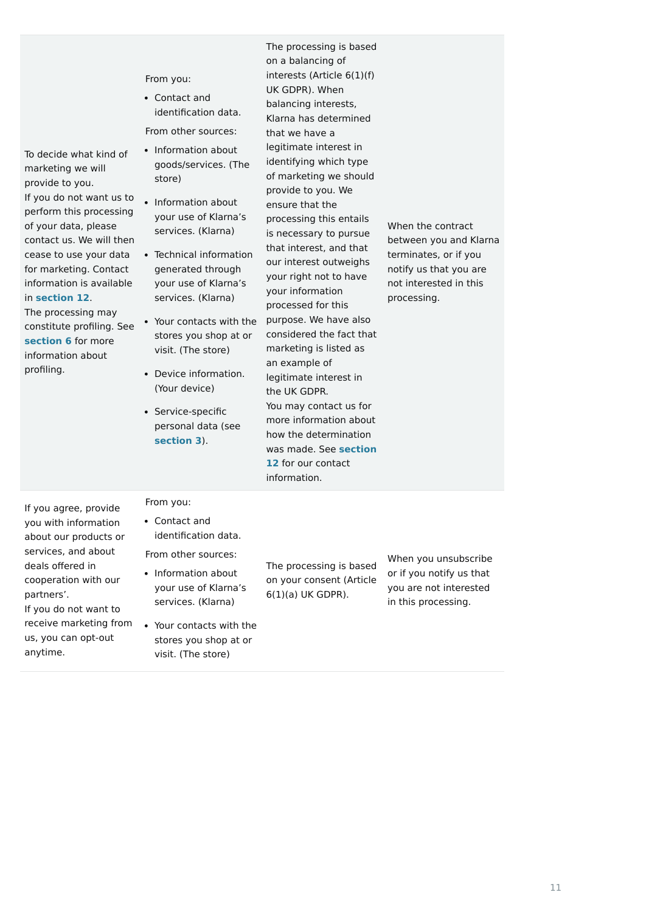| To decide what kind of<br>marketing we will<br>provide to you.<br>If you do not want us to<br>perform this processing<br>of your data, please<br>contact us. We will then<br>cease to use your data<br>for marketing. Contact<br>information is available<br>in section 12.<br>The processing may<br>constitute profiling. See<br>section 6 for more<br>information about<br>profiling. | From you:<br>• Contact and<br>identification data.<br>From other sources:<br>• Information about<br>goods/services. (The<br>store)<br>Information about<br>your use of Klarna's<br>services. (Klarna)<br>• Technical information<br>generated through<br>your use of Klarna's<br>services. (Klarna)<br>• Your contacts with the<br>stores you shop at or<br>visit. (The store)<br>Device information.<br>$\bullet$<br>(Your device)<br>• Service-specific<br>personal data (see<br>section 3). | The processing is based<br>on a balancing of<br>interests (Article $6(1)(f)$<br>UK GDPR). When<br>balancing interests,<br>Klarna has determined<br>that we have a<br>legitimate interest in<br>identifying which type<br>of marketing we should<br>provide to you. We<br>ensure that the<br>processing this entails<br>is necessary to pursue<br>that interest, and that<br>our interest outweighs<br>your right not to have<br>your information<br>processed for this<br>purpose. We have also<br>considered the fact that<br>marketing is listed as<br>an example of<br>legitimate interest in<br>the UK GDPR.<br>You may contact us for<br>more information about<br>how the determination<br>was made. See section<br>12 for our contact<br>information. | When the contract<br>between you and Klarna<br>terminates, or if you<br>notify us that you are<br>not interested in this<br>processing. |
|-----------------------------------------------------------------------------------------------------------------------------------------------------------------------------------------------------------------------------------------------------------------------------------------------------------------------------------------------------------------------------------------|------------------------------------------------------------------------------------------------------------------------------------------------------------------------------------------------------------------------------------------------------------------------------------------------------------------------------------------------------------------------------------------------------------------------------------------------------------------------------------------------|--------------------------------------------------------------------------------------------------------------------------------------------------------------------------------------------------------------------------------------------------------------------------------------------------------------------------------------------------------------------------------------------------------------------------------------------------------------------------------------------------------------------------------------------------------------------------------------------------------------------------------------------------------------------------------------------------------------------------------------------------------------|-----------------------------------------------------------------------------------------------------------------------------------------|
| If you agree, provide<br>you with information<br>about our products or<br>services, and about<br>deals offered in<br>cooperation with our<br>partners'.<br>If you do not want to<br>receive marketing from<br>us, you can opt-out<br>anytime.                                                                                                                                           | From you:<br>• Contact and<br>identification data.<br>From other sources:<br>• Information about<br>your use of Klarna's<br>services. (Klarna)<br>• Your contacts with the<br>stores you shop at or<br>visit. (The store)                                                                                                                                                                                                                                                                      | The processing is based<br>on your consent (Article<br>$6(1)(a)$ UK GDPR).                                                                                                                                                                                                                                                                                                                                                                                                                                                                                                                                                                                                                                                                                   | When you unsubscribe<br>or if you notify us that<br>you are not interested<br>in this processing.                                       |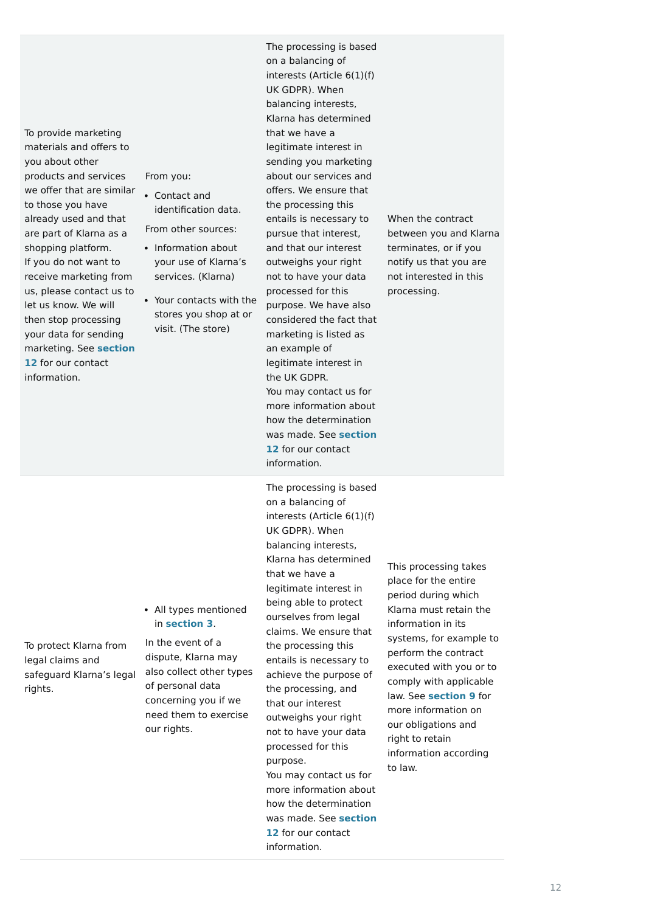To provide marketing materials and offers to you about other products and services we offer that are similar to those you have already used and that are part of Klarna as a shopping platform. If you do not want to receive marketing from us, please contact us to let us know. We will then stop processing your data for sending [marketing. See](https://cdn.klarna.com/1.0/shared/content/legal/terms/0/en_gb/privacy#12) **section 12** for our contact information.

From you:

The processing is based on a balancing of interests (Article 6(1)(f) UK GDPR). When balancing interests, Klarna has determined that we have a legitimate interest in sending you marketing about our services and offers. We ensure that the processing this entails is necessary to pursue that interest, and that our interest outweighs your right not to have your data processed for this purpose. We have also considered the fact that marketing is listed as an example of legitimate interest in the UK GDPR. You may contact us for more information about how the determination [was made. See](https://cdn.klarna.com/1.0/shared/content/legal/terms/0/en_gb/privacy#12) **section 12** for our contact information.

When the contract between you and Klarna terminates, or if you notify us that you are not interested in this processing.

To protect Klarna from legal claims and safeguard Klarna's legal rights.

In the event of a dispute, Klarna may also collect other types of personal data concerning you if we need them to exercise our rights. that our interest purpose. information.

The processing is based on a balancing of interests (Article 6(1)(f) UK GDPR). When balancing interests, Klarna has determined that we have a legitimate interest in being able to protect ourselves from legal claims. We ensure that the processing this entails is necessary to achieve the purpose of the processing, and outweighs your right not to have your data processed for this You may contact us for more information about how the determination [was made. See](https://cdn.klarna.com/1.0/shared/content/legal/terms/0/en_gb/privacy#12) **section 12** for our contact

This processing takes place for the entire period during which Klarna must retain the information in its systems, for example to perform the contract executed with you or to comply with applicable law. See **[section 9](https://cdn.klarna.com/1.0/shared/content/legal/terms/0/en_gb/privacy#9)** for more information on our obligations and right to retain information according to law.

- Contact and identification data.
- From other sources:
- Information about your use of Klarna's services. (Klarna)
- Your contacts with the stores you shop at or visit. (The store)

All types mentioned in **[section 3](https://cdn.klarna.com/1.0/shared/content/legal/terms/0/en_gb/privacy#3)**.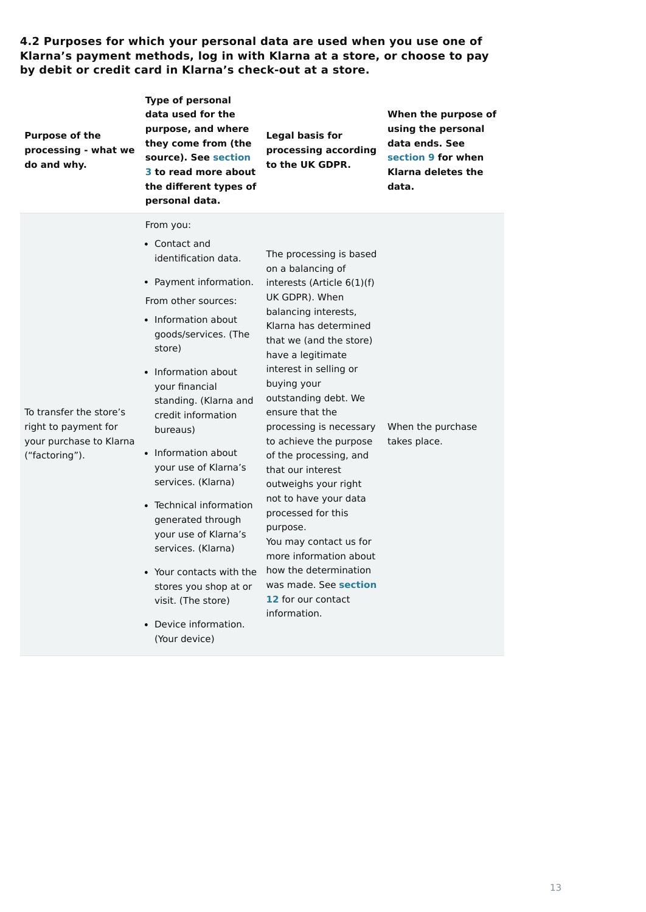**4.2 Purposes for which your personal data are used when you use one of Klarna's payment methods, log in with Klarna at a store, or choose to pay by debit or credit card in Klarna's check-out at a store.**

| personal data.                                                                                                                                                                                                                                                                                                                                                                                                                                                                                                                                                                                                                                                                                                                                                                                                                                                                                                                                                                                                                                                                                                                                                                                                                                                                                                          | <b>Purpose of the</b><br>processing - what we<br>do and why. | <b>Type of personal</b><br>data used for the<br>purpose, and where<br>they come from (the<br>source). See section<br>3 to read more about<br>the different types of | <b>Legal basis for</b><br>processing according<br>to the UK GDPR. | When the purpose of<br>using the personal<br>data ends. See<br>section 9 for when<br>Klarna deletes the<br>data. |
|-------------------------------------------------------------------------------------------------------------------------------------------------------------------------------------------------------------------------------------------------------------------------------------------------------------------------------------------------------------------------------------------------------------------------------------------------------------------------------------------------------------------------------------------------------------------------------------------------------------------------------------------------------------------------------------------------------------------------------------------------------------------------------------------------------------------------------------------------------------------------------------------------------------------------------------------------------------------------------------------------------------------------------------------------------------------------------------------------------------------------------------------------------------------------------------------------------------------------------------------------------------------------------------------------------------------------|--------------------------------------------------------------|---------------------------------------------------------------------------------------------------------------------------------------------------------------------|-------------------------------------------------------------------|------------------------------------------------------------------------------------------------------------------|
| From you:<br>• Contact and<br>The processing is based<br>identification data.<br>on a balancing of<br>• Payment information.<br>interests (Article $6(1)(f)$<br>UK GDPR). When<br>From other sources:<br>balancing interests,<br>• Information about<br>Klarna has determined<br>goods/services. (The<br>that we (and the store)<br>store)<br>have a legitimate<br>interest in selling or<br>• Information about<br>buying your<br>your financial<br>outstanding debt. We<br>standing. (Klarna and<br>To transfer the store's<br>ensure that the<br>credit information<br>When the purchase<br>right to payment for<br>processing is necessary<br>bureaus)<br>your purchase to Klarna<br>to achieve the purpose<br>takes place.<br>• Information about<br>("factoring").<br>of the processing, and<br>your use of Klarna's<br>that our interest<br>services. (Klarna)<br>outweighs your right<br>not to have your data<br>• Technical information<br>processed for this<br>generated through<br>purpose.<br>your use of Klarna's<br>You may contact us for<br>services. (Klarna)<br>more information about<br>how the determination<br>• Your contacts with the<br>was made. See section<br>stores you shop at or<br>12 for our contact<br>visit. (The store)<br>information.<br>• Device information.<br>(Your device) |                                                              |                                                                                                                                                                     |                                                                   |                                                                                                                  |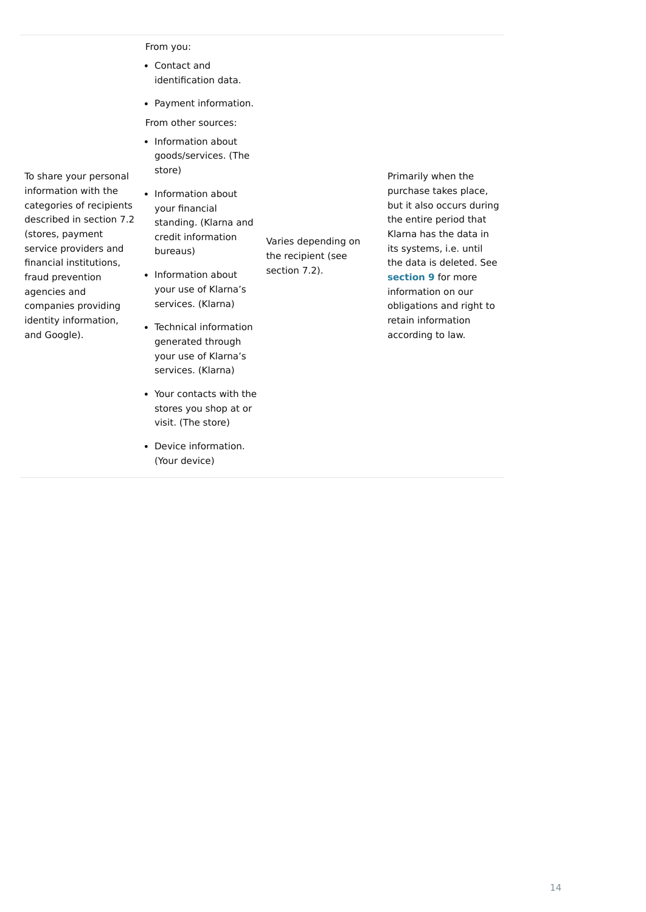To share your personal

- Information about goods/services. (The store)
- information with the categories of recipients described in section 7.2 (stores, payment service providers and financial institutions, fraud prevention agencies and companies providing
- identity information, and Google).

From you:

From other sources:

Varies depending on

the recipient (see

section 7.2).

• Information about your financial standing. (Klarna and credit information bureaus)

Primarily when the purchase takes place, but it also occurs during the entire period that Klarna has the data in its systems, i.e. until the data is deleted. See **[section 9](https://cdn.klarna.com/1.0/shared/content/legal/terms/0/en_gb/privacy#9)** for more information on our obligations and right to retain information according to law.

- Information about your use of Klarna's services. (Klarna)
- Technical information generated through your use of Klarna's services. (Klarna)
- Your contacts with the stores you shop at or visit. (The store)
- Device information. (Your device)

Contact and identification data.

• Payment information.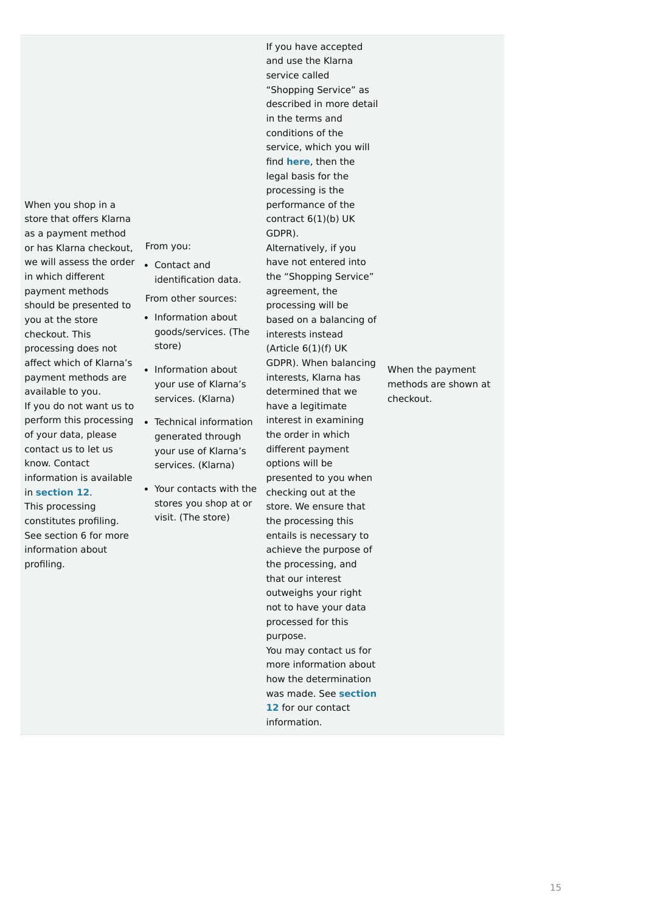When you shop in a store that offers Klarna as a payment method or has Klarna checkout, we will assess the order in which different payment methods should be presented to you at the store checkout. This processing does not affect which of Klarna's payment methods are available to you. If you do not want us to perform this processing of your data, please contact us to let us know. Contact information is available in **[section 12](https://cdn.klarna.com/1.0/shared/content/legal/terms/0/en_gb/privacy#12)**.

This processing constitutes profiling. See section 6 for more information about profiling.

From you:

From other sources:

- Information about goods/services. (The store)
- Information about your use of Klarna's services. (Klarna)
- Technical information generated through your use of Klarna's services. (Klarna)
- Your contacts with the stores you shop at or visit. (The store)

If you have accepted and use the Klarna service called "Shopping Service" as described in more detail in the terms and conditions of the service, which you will find **[here](https://cdn.klarna.com/1.0/shared/content/legal/terms/Klarna/en_gb/user?_gl=1*1obgqvs*_gcl_aw*R0NMLjE2MTAzNTMzODIuQ2p3S0NBaUFpX0RfQlJBcEVpd0FTc2xiSjJfSHYyd1VUem9Ub2ZKMFpraEVFeVR2MFlZeXJvaXU2N1JKaWdyYmlvOVVXWDRDR0RRTjRSb0NsaE1RQXZEX0J3RQ..)**, then the legal basis for the processing is the performance of the contract  $6(1)(b)$  UK GDPR). Alternatively, if you have not entered into the "Shopping Service" agreement, the processing will be based on a balancing of interests instead (Article  $6(1)(f)$  UK GDPR). When balancing interests, Klarna has determined that we have a legitimate interest in examining the order in which different payment options will be presented to you when checking out at the store. We ensure that the processing this entails is necessary to achieve the purpose of the processing, and that our interest outweighs your right not to have your data processed for this purpose. You may contact us for more information about how the determination

[was made. See](https://cdn.klarna.com/1.0/shared/content/legal/terms/0/en_gb/privacy#12) **section 12** for our contact information.

When the payment methods are shown at checkout.

Contact and identification data.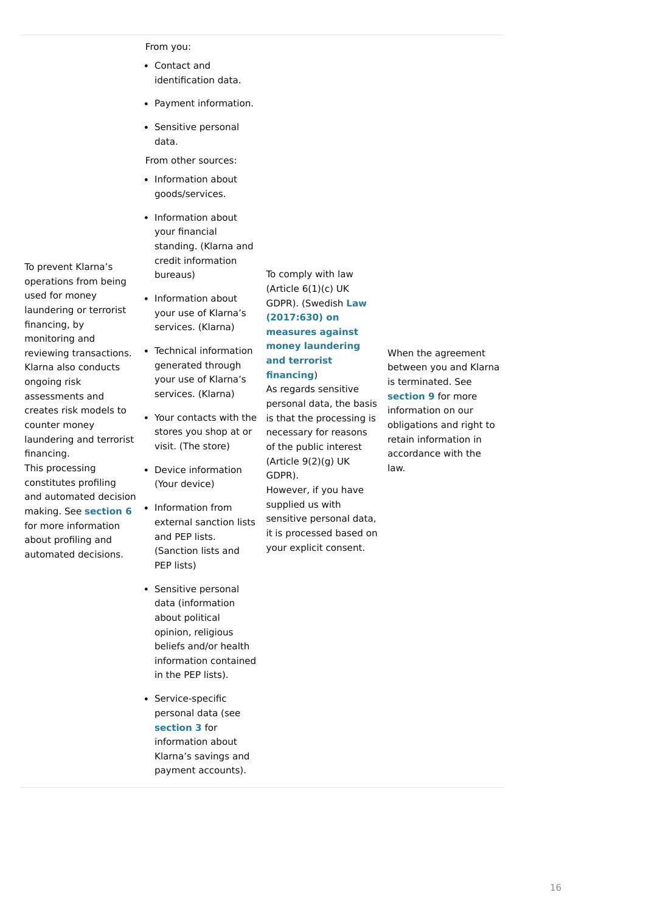To prevent Klarna's

operations from being

used for money

laundering or terrorist

financing, by monitoring and

reviewing transactions.

Klarna also conducts

ongoing risk

assessments and

creates risk models to

counter money

laundering and terrorist

financing.

This processing

constitutes profiling

and automated decision making. See **[section 6](https://cdn.klarna.com/1.0/shared/content/legal/terms/0/en_gb/privacy#6)**

for more information about profiling and automated decisions. From you:

From other sources:

To comply with law (Article  $6(1)(c)$  UK GDPR). (Swedish **Law (2017:630) on measures against [money laundering](https://www.riksdagen.se/sv/dokument-lagar/dokument/svensk-forfattningssamling/lag-2017630-om-atgarder-mot-penningtvatt-och_sfs-2017-630) and terrorist financing**)

- Information about goods/services.
- Information about your financial standing. (Klarna and credit information bureaus)

As regards sensitive personal data, the basis is that the processing is necessary for reasons of the public interest (Article 9(2)(g) UK GDPR). However, if you have supplied us with sensitive personal data, it is processed based on your explicit consent.

- Information about your use of Klarna's services. (Klarna)
- Technical information generated through your use of Klarna's services. (Klarna)
- Your contacts with the stores you shop at or visit. (The store)
- Device information (Your device)
- Information from external sanction lists and PEP lists. (Sanction lists and PEP lists)
- Sensitive personal data (information about political opinion, religious beliefs and/or health information contained in the PEP lists).

• Service-specific personal data (see **[section 3](https://cdn.klarna.com/1.0/shared/content/legal/terms/0/en_gb/privacy#3)** for information about Klarna's savings and payment accounts).

When the agreement between you and Klarna is terminated. See **[section 9](https://cdn.klarna.com/1.0/shared/content/legal/terms/0/en_gb/privacy#9)** for more information on our obligations and right to retain information in accordance with the law.

- Contact and identification data.
- Payment information.
- Sensitive personal data.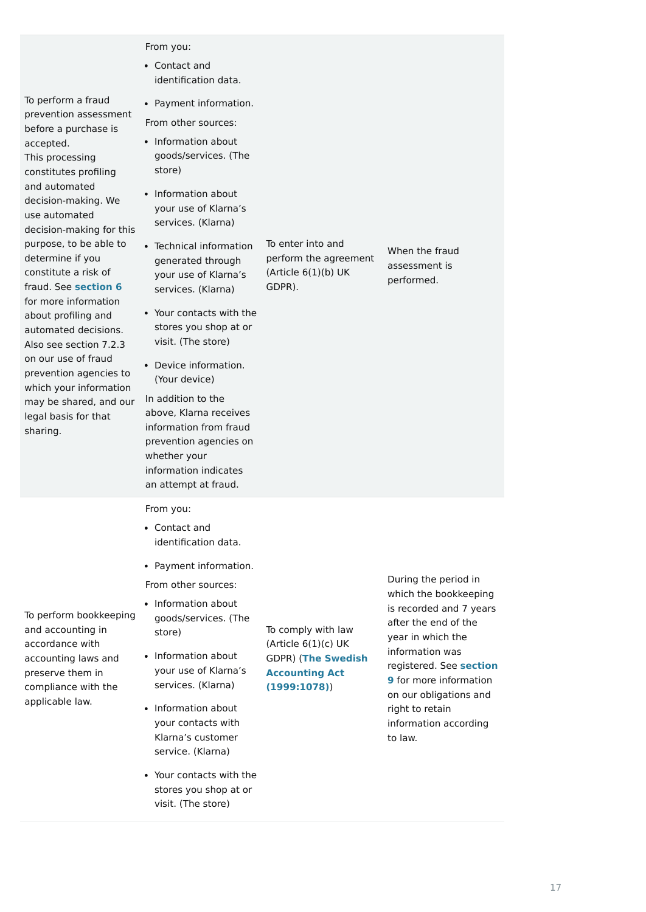compliance with the applicable law.

|                                                                                               | From you:                                                                                                                                                         |                                                                               |                                                                             |
|-----------------------------------------------------------------------------------------------|-------------------------------------------------------------------------------------------------------------------------------------------------------------------|-------------------------------------------------------------------------------|-----------------------------------------------------------------------------|
|                                                                                               | • Contact and<br>identification data.                                                                                                                             |                                                                               |                                                                             |
| To perform a fraud                                                                            | • Payment information.                                                                                                                                            |                                                                               |                                                                             |
| prevention assessment<br>before a purchase is                                                 | From other sources:                                                                                                                                               |                                                                               |                                                                             |
| accepted.<br>This processing<br>constitutes profiling                                         | • Information about<br>goods/services. (The<br>store)                                                                                                             |                                                                               |                                                                             |
| and automated<br>decision-making. We<br>use automated<br>decision-making for this             | • Information about<br>your use of Klarna's<br>services. (Klarna)                                                                                                 |                                                                               |                                                                             |
| purpose, to be able to<br>determine if you<br>constitute a risk of<br>fraud. See section 6    | • Technical information<br>generated through<br>your use of Klarna's<br>services. (Klarna)                                                                        | To enter into and<br>perform the agreement<br>(Article $6(1)(b)$ UK<br>GDPR). | When the fraud<br>assessment is<br>performed.                               |
| for more information<br>about profiling and<br>automated decisions.<br>Also see section 7.2.3 | • Your contacts with the<br>stores you shop at or<br>visit. (The store)                                                                                           |                                                                               |                                                                             |
| on our use of fraud<br>prevention agencies to                                                 | Device information.<br>(Your device)                                                                                                                              |                                                                               |                                                                             |
| which your information<br>may be shared, and our<br>legal basis for that<br>sharing.          | In addition to the<br>above, Klarna receives<br>information from fraud<br>prevention agencies on<br>whether your<br>information indicates<br>an attempt at fraud. |                                                                               |                                                                             |
|                                                                                               | From you:                                                                                                                                                         |                                                                               |                                                                             |
|                                                                                               | • Contact and<br>identification data.                                                                                                                             |                                                                               |                                                                             |
|                                                                                               | • Payment information.                                                                                                                                            |                                                                               |                                                                             |
|                                                                                               | From other sources:                                                                                                                                               |                                                                               | During the period in<br>which the bookkeeping                               |
| To perform bookkeeping<br>and accounting in<br>accordance with                                | • Information about<br>goods/services. (The<br>store)                                                                                                             | To comply with law<br>(Article $6(1)(c)$ UK                                   | is recorded and 7 years<br>after the end of the<br>year in which the        |
| accounting laws and<br>preserve them in<br>compliance with the                                | Information about<br>your use of Klarna's<br>services. (Klarna)                                                                                                   | <b>GDPR) (The Swedish</b><br><b>Accounting Act</b><br>(1999:1078)             | information was<br>registered. See section<br><b>9</b> for more information |

- Information about your contacts with Klarna's customer service. (Klarna)
- Your contacts with the stores you shop at or visit. (The store)

**(1999:1078)**)

on our obligations and right to retain information according to law.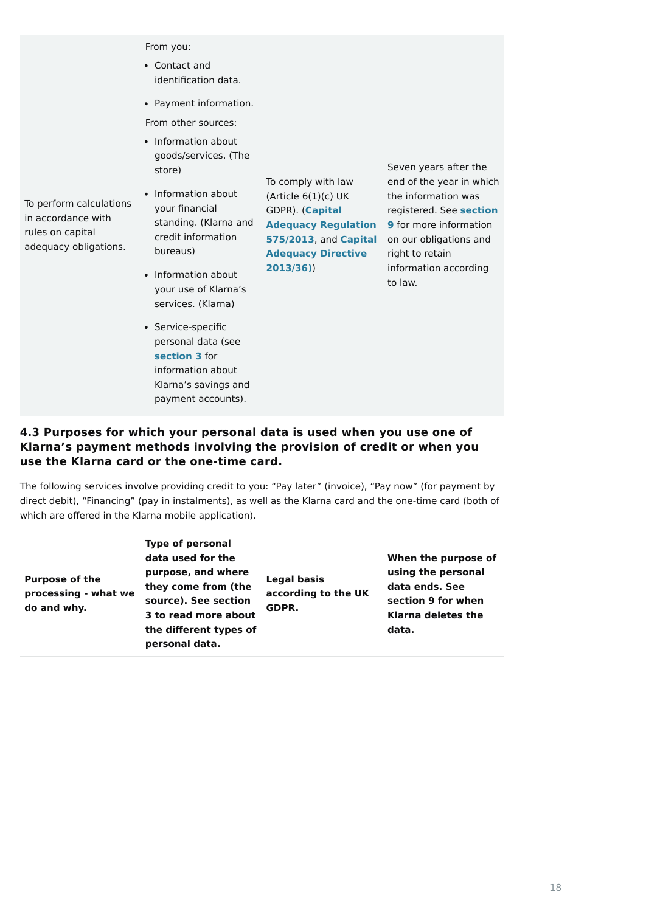To perform calculations

in accordance with

rules on capital

adequacy obligations.

From you:

From other sources:

To comply with law (Article  $6(1)(c)$  UK GDPR). (**Capital [Adequacy Regulation](https://eur-lex.europa.eu/legal-content/EN/TXT/PDF/?uri=CELEX:32013R0575&qid=1617706896046&from=EN) 575/2013**, and **Capital [Adequacy Directive](https://eur-lex.europa.eu/legal-content/EN/TXT/PDF/?uri=CELEX:32013L0036&qid=1617707222180&from=EN) 2013/36[\)](https://eur-lex.europa.eu/legal-content/SV/TXT/PDF/?uri=CELEX:02013L0036-20201229&qid=1615910641599&from=SV)**)

Seven years after the end of the year in which the information was registered. See **section 9** [for more information](https://cdn.klarna.com/1.0/shared/content/legal/terms/0/en_gb/privacy#9) on our obligations and right to retain information according to law.

### **4.3 Purposes for which your personal data is used when you use one of Klarna's payment methods involving the provision of credit or when you use the Klarna card or the one-time card.**

- Contact and identification data.
- Payment information.

The following services involve providing credit to you: "Pay later" (invoice), "Pay now" (for payment by direct debit), "Financing" (pay in instalments), as well as the Klarna card and the one-time card (both of which are offered in the Klarna mobile application).

- Information about goods/services. (The store)
- Information about your financial standing. (Klarna and credit information bureaus)
- Information about your use of Klarna's services. (Klarna)
- Service-specific personal data (see **[section 3](https://cdn.klarna.com/1.0/shared/content/legal/terms/0/en_gb/privacy#3)** for information about Klarna's savings and payment accounts).

| <b>Legal basis</b><br>according to the UK<br>GDPR.<br>3 to read more about<br>the different types of | When the purpose of<br>using the personal<br>data ends. See<br>section 9 for when<br><b>Klarna deletes the</b><br>data. |
|------------------------------------------------------------------------------------------------------|-------------------------------------------------------------------------------------------------------------------------|
|                                                                                                      |                                                                                                                         |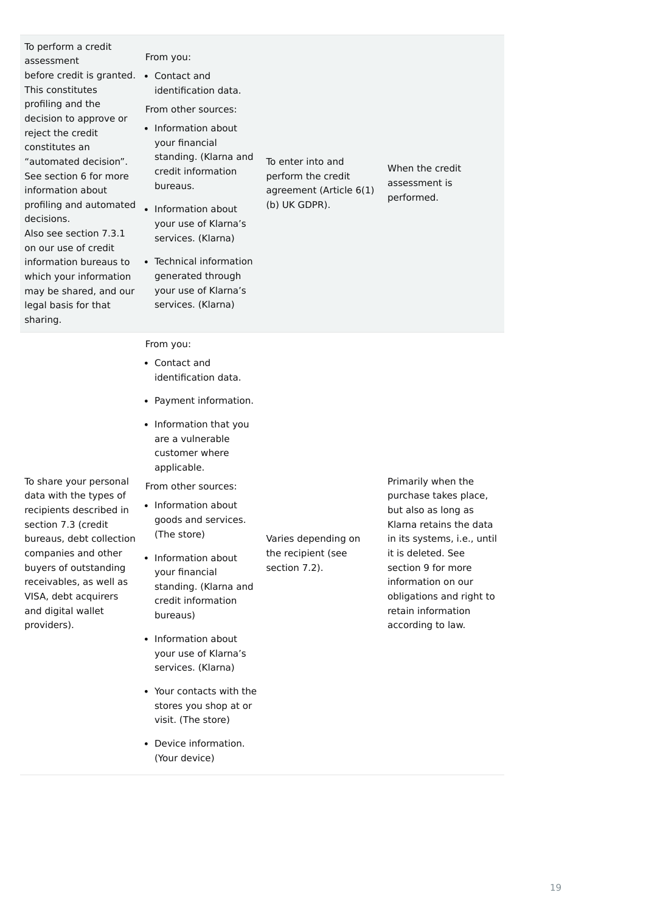| To perform a credit<br>assessment<br>before credit is granted.<br>This constitutes<br>profiling and the<br>decision to approve or<br>reject the credit<br>constitutes an<br>"automated decision".<br>See section 6 for more<br>information about<br>profiling and automated<br>decisions.<br>Also see section 7.3.1<br>on our use of credit<br>information bureaus to<br>which your information<br>may be shared, and our<br>legal basis for that<br>sharing. | From you:<br>• Contact and<br>identification data.<br>From other sources:<br>Information about<br>your financial<br>standing. (Klarna and<br>credit information<br>bureaus.<br>Information about<br>your use of Klarna's<br>services. (Klarna)<br>• Technical information<br>generated through<br>your use of Klarna's<br>services. (Klarna) | To enter into and<br>perform the credit<br>agreement (Article 6(1)<br>(b) UK GDPR). | When the credit<br>assessment is<br>performed.                                                                                                                                                                                                                    |
|---------------------------------------------------------------------------------------------------------------------------------------------------------------------------------------------------------------------------------------------------------------------------------------------------------------------------------------------------------------------------------------------------------------------------------------------------------------|----------------------------------------------------------------------------------------------------------------------------------------------------------------------------------------------------------------------------------------------------------------------------------------------------------------------------------------------|-------------------------------------------------------------------------------------|-------------------------------------------------------------------------------------------------------------------------------------------------------------------------------------------------------------------------------------------------------------------|
|                                                                                                                                                                                                                                                                                                                                                                                                                                                               | From you:<br>Contact and<br>$\bullet$<br>identification data.<br>Payment information.<br>Information that you<br>are a vulnerable                                                                                                                                                                                                            |                                                                                     |                                                                                                                                                                                                                                                                   |
| To share your personal<br>data with the types of<br>recipients described in<br>section 7.3 (credit<br>bureaus, debt collection<br>companies and other<br>buyers of outstanding<br>receivables, as well as<br>VISA, debt acquirers<br>and digital wallet<br>providers).                                                                                                                                                                                        | customer where<br>applicable.<br>From other sources:<br>• Information about<br>goods and services.<br>(The store)<br>Information about<br>your financial<br>standing. (Klarna and<br>credit information<br>bureaus)<br>Information about                                                                                                     | Varies depending on<br>the recipient (see<br>section 7.2).                          | Primarily when the<br>purchase takes place,<br>but also as long as<br>Klarna retains the data<br>in its systems, i.e., un<br>it is deleted. See<br>section 9 for more<br>information on our<br>obligations and right t<br>retain information<br>according to law. |

your use of Klarna's

services. (Klarna)

ta ntil to

- Your contacts with the stores you shop at or visit. (The store)
- Device information.
	- (Your device)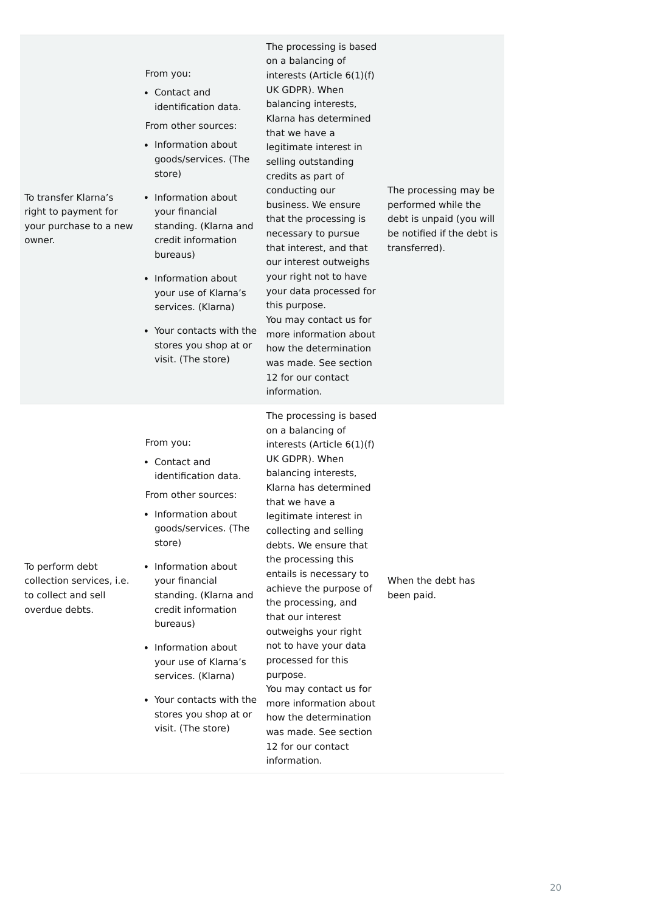| To transfer Klarna's<br>right to payment for<br>your purchase to a new<br>owner.      | From you:<br>• Contact and<br>identification data.<br>From other sources:<br>• Information about<br>goods/services. (The<br>store)<br>• Information about<br>your financial<br>standing. (Klarna and<br>credit information<br>bureaus)<br>• Information about<br>your use of Klarna's<br>services. (Klarna)<br>• Your contacts with the<br>stores you shop at or<br>visit. (The store) | The processing is based<br>on a balancing of<br>interests (Article 6(1)(f)<br>UK GDPR). When<br>balancing interests,<br>Klarna has determined<br>that we have a<br>legitimate interest in<br>selling outstanding<br>credits as part of<br>conducting our<br>business. We ensure<br>that the processing is<br>necessary to pursue<br>that interest, and that<br>our interest outweighs<br>your right not to have<br>your data processed for<br>this purpose.<br>You may contact us for<br>more information about<br>how the determination<br>was made. See section<br>12 for our contact<br>information. | The processing may be<br>performed while the<br>debt is unpaid (you will<br>be notified if the debt is<br>transferred). |
|---------------------------------------------------------------------------------------|----------------------------------------------------------------------------------------------------------------------------------------------------------------------------------------------------------------------------------------------------------------------------------------------------------------------------------------------------------------------------------------|---------------------------------------------------------------------------------------------------------------------------------------------------------------------------------------------------------------------------------------------------------------------------------------------------------------------------------------------------------------------------------------------------------------------------------------------------------------------------------------------------------------------------------------------------------------------------------------------------------|-------------------------------------------------------------------------------------------------------------------------|
| To perform debt<br>collection services, i.e.<br>to collect and sell<br>overdue debts. | From you:<br>• Contact and<br>identification data.<br>From other sources:<br>• Information about<br>goods/services. (The<br>store)<br>Information about<br>your financial<br>standing. (Klarna and<br>credit information<br>bureaus)<br>Information about<br>$\bullet$<br>your use of Klarna's<br>services. (Klarna)                                                                   | The processing is based<br>on a balancing of<br>interests (Article $6(1)(f)$<br>UK GDPR). When<br>balancing interests,<br>Klarna has determined<br>that we have a<br>legitimate interest in<br>collecting and selling<br>debts. We ensure that<br>the processing this<br>entails is necessary to<br>achieve the purpose of<br>the processing, and<br>that our interest<br>outweighs your right<br>not to have your data<br>processed for this<br>purpose.                                                                                                                                               | When the debt has<br>been paid.                                                                                         |

|                          | You may contact us for |
|--------------------------|------------------------|
| • Your contacts with the | more information about |
| stores you shop at or    | how the determination  |
| visit. (The store)       | was made. See section  |
|                          | 12 for our contact     |
|                          | information.           |
|                          |                        |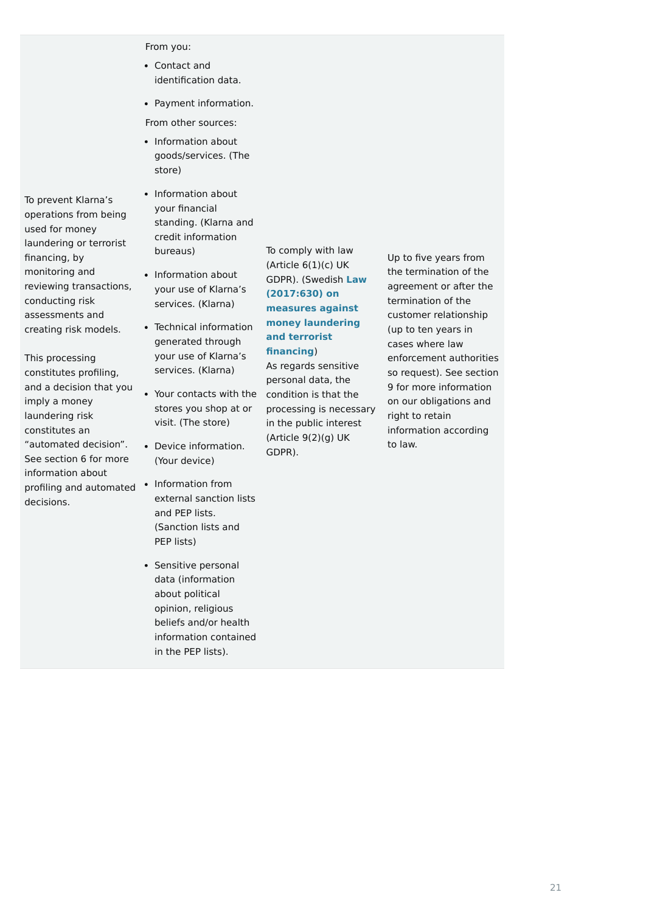- Information about goods/services. (The store)
- To prevent Klarna's operations from being used for money laundering or terrorist financing, by monitoring and reviewing transactions, conducting risk assessments and creating risk models.

This processing constitutes profiling, and a decision that you imply a money laundering risk constitutes an "automated decision". See section 6 for more information about profiling and automated • Information from decisions.

From you:

From other sources:

- Contact and identification data.
- Payment information.

To comply with law (Article  $6(1)(c)$  UK GDPR). (Swedish **Law (2017:630) on measures against [money laundering](https://www.riksdagen.se/sv/dokument-lagar/dokument/svensk-forfattningssamling/lag-2017630-om-atgarder-mot-penningtvatt-och_sfs-2017-630) and terrorist financing**) As regards sensitive personal data, the processing is necessary in the public interest (Article 9(2)(g) UK

GDPR).

- Information about your financial standing. (Klarna and credit information bureaus)
- Information about your use of Klarna's services. (Klarna)
- Technical information generated through your use of Klarna's services. (Klarna)
- Your contacts with the condition is that the stores you shop at or visit. (The store)
- Device information. (Your device)
- external sanction lists and PEP lists. (Sanction lists and PEP lists)
- Sensitive personal data (information about political opinion, religious beliefs and/or health information contained in the PEP lists).

Up to five years from the termination of the agreement or after the termination of the customer relationship (up to ten years in cases where law enforcement authorities so request). See section 9 for more information on our obligations and right to retain information according to law.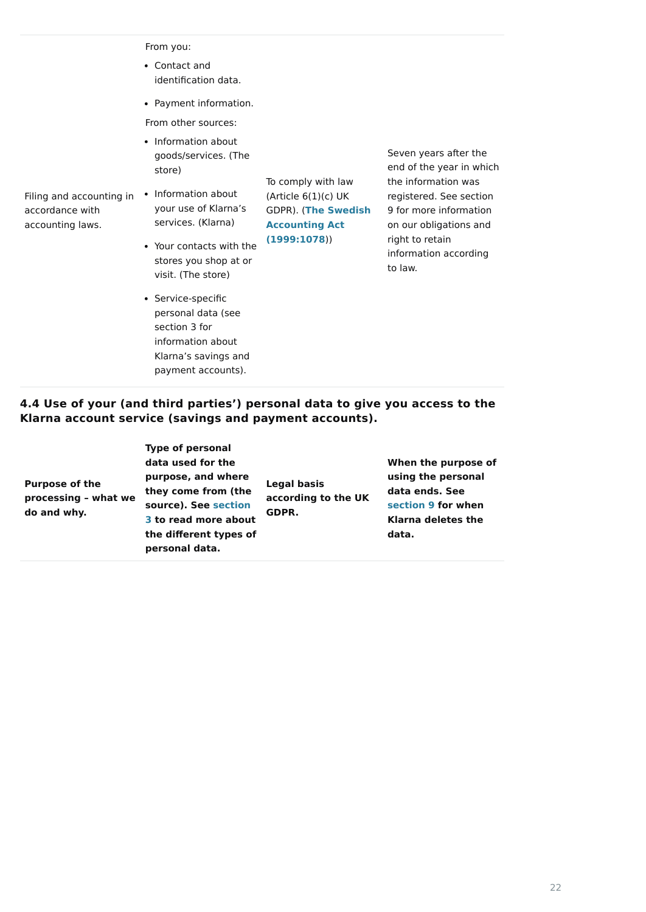accordance with accounting laws. From you:

From other sources:

To comply with law (Article 6(1)(c) UK GDPR). (**The Swedish [Accounting Act](https://www.riksdagen.se/sv/dokument-lagar/dokument/svensk-forfattningssamling/bokforingslag-19991078_sfs-1999-1078) (1999:1078**))

Seven years after the end of the year in which the information was registered. See section 9 for more information on our obligations and right to retain information according to law.

- Contact and identification data.
- Payment information.

**4.4 Use of your (and third parties') personal data to give you access to the Klarna account service (savings and payment accounts).**

• Information about goods/services. (The store)

- Filing and accounting in Information about your use of Klarna's services. (Klarna)
	- Your contacts with the stores you shop at or visit. (The store)
	- Service-specific personal data (see section 3 for information about Klarna's savings and payment accounts).

| <b>Purpose of the</b><br>processing - what we<br>do and why. | <b>Type of personal</b><br>data used for the<br>purpose, and where<br>they come from (the<br>source). See section<br>3 to read more about<br>the different types of<br>personal data. | <b>Legal basis</b><br>according to the UK<br>GDPR. | When the purpose of<br>using the personal<br>data ends. See<br>section 9 for when<br><b>Klarna deletes the</b><br>data. |
|--------------------------------------------------------------|---------------------------------------------------------------------------------------------------------------------------------------------------------------------------------------|----------------------------------------------------|-------------------------------------------------------------------------------------------------------------------------|
|--------------------------------------------------------------|---------------------------------------------------------------------------------------------------------------------------------------------------------------------------------------|----------------------------------------------------|-------------------------------------------------------------------------------------------------------------------------|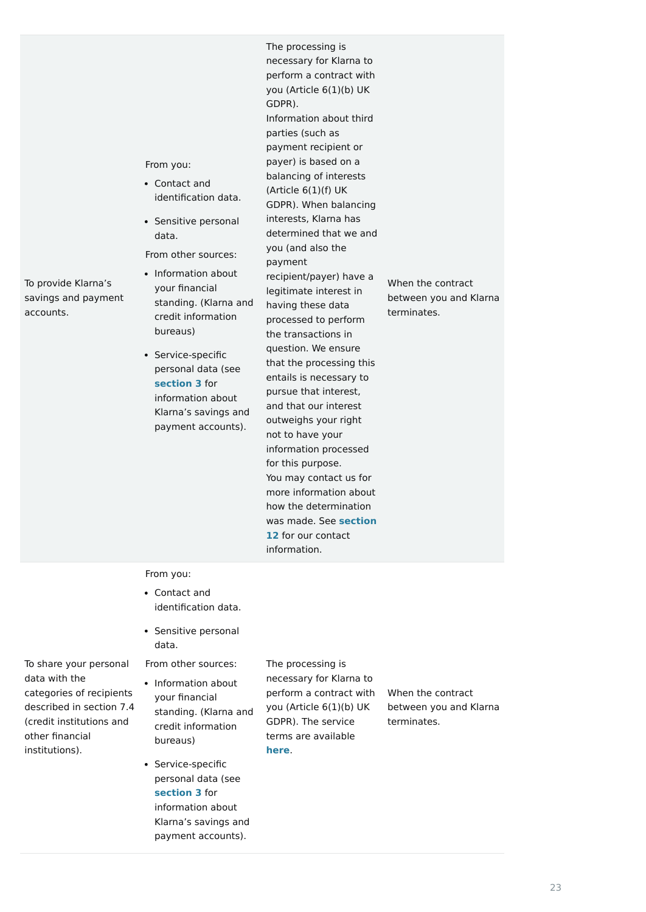To provide Klarna's savings and payment accounts.

From you:

The processing is necessary for Klarna to perform a contract with you (Article 6(1)(b) UK GDPR). Information about third parties (such as payment recipient or payer) is based on a balancing of interests (Article  $6(1)(f)$  UK GDPR). When balancing interests, Klarna has determined that we and you (and also the payment recipient/payer) have a legitimate interest in having these data processed to perform the transactions in question. We ensure that the processing this entails is necessary to pursue that interest, and that our interest outweighs your right not to have your information processed for this purpose. You may contact us for more information about how the determination [was made. See](https://cdn.klarna.com/1.0/shared/content/legal/terms/0/en_gb/privacy#12) **section 12** for our contact information.

From other sources: Contact and identification data. • Sensitive personal data. • Information about your financial standing. (Klarna and credit information bureaus) • Service-specific personal data (see **[section 3](https://cdn.klarna.com/1.0/shared/content/legal/terms/0/en_gb/privacy#3)** for information about

When the contract between you and Klarna terminates.

• Service-specific personal data (see **[section 3](https://cdn.klarna.com/1.0/shared/content/legal/terms/0/en_gb/privacy#12)** for information about Klarna's savings and payment accounts).

To share your personal data with the

From other sources: The processing is

• Information about

categories of recipients described in section 7.4 (credit institutions and other financial institutions).

From you:

necessary for Klarna to perform a contract with you (Article 6(1)(b) UK GDPR). The service terms are available When the contract between you and Klarna terminates.

#### **[here](https://cdn.klarna.com/1.0/shared/content/legal/terms/Klarna/en_gb/user?_gl=1*1obgqvs*_gcl_aw*R0NMLjE2MTAzNTMzODIuQ2p3S0NBaUFpX0RfQlJBcEVpd0FTc2xiSjJfSHYyd1VUem9Ub2ZKMFpraEVFeVR2MFlZeXJvaXU2N1JKaWdyYmlvOVVXWDRDR0RRTjRSb0NsaE1RQXZEX0J3RQ..)**.

Klarna's savings and payment accounts).

- Contact and identification data.
- Sensitive personal data.

your financial standing. (Klarna and credit information bureaus)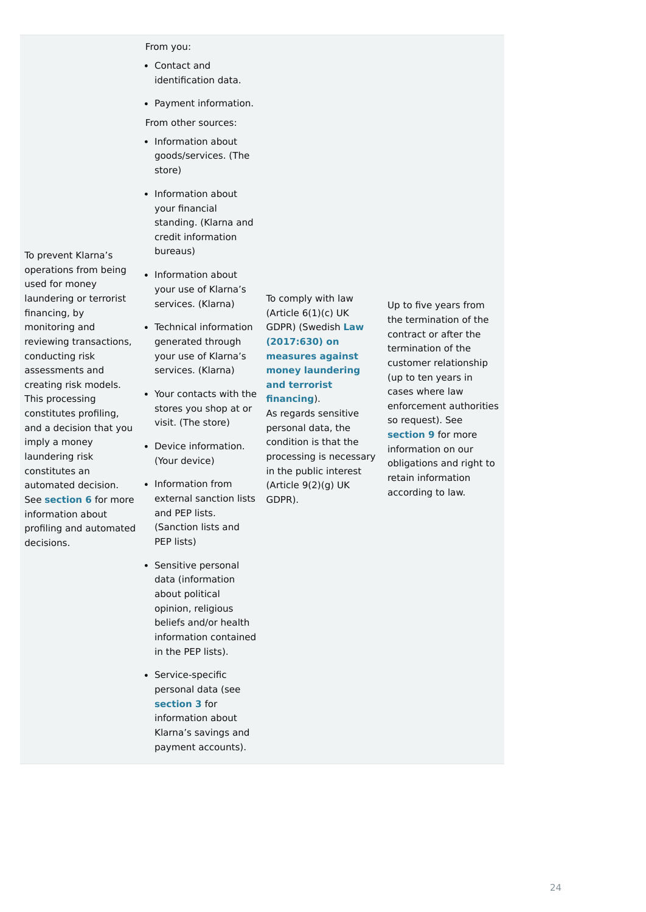To prevent Klarna's

operations from being

used for money

laundering or terrorist

financing, by

monitoring and

reviewing transactions,

conducting risk assessments and

creating risk models.

This processing

constitutes profiling, and a decision that you

imply a money laundering risk constitutes an

automated decision.

See **[section 6](https://cdn.klarna.com/1.0/shared/content/legal/terms/0/en_gb/privacy#6)** for more

information about

profiling and automated

decisions.

From you:

From other sources:

GDPR) (Swedish **Law**

- Contact and identification data.
- Payment information.

To comply with law (Article  $6(1)(c)$  UK **(2017:630) on measures against [money laundering](https://www.riksdagen.se/sv/dokument-lagar/dokument/svensk-forfattningssamling/lag-2017630-om-atgarder-mot-penningtvatt-och_sfs-2017-630) and terrorist financing**).

- Information about goods/services. (The store)
- Information about your financial standing. (Klarna and credit information bureaus)
- Information about your use of Klarna's services. (Klarna)

As regards sensitive personal data, the condition is that the processing is necessary in the public interest (Article 9(2)(g) UK GDPR).

Up to five years from the termination of the contract or after the termination of the customer relationship (up to ten years in cases where law enforcement authorities so request). See **[section 9](https://cdn.klarna.com/1.0/shared/content/legal/terms/0/en_gb/privacy#9)** for more information on our obligations and right to retain information according to law.

- Technical information generated through your use of Klarna's services. (Klarna)
- Your contacts with the stores you shop at or visit. (The store)
- Device information. (Your device)
- Information from external sanction lists and PEP lists. (Sanction lists and PEP lists)
- Sensitive personal data (information about political opinion, religious beliefs and/or health information contained in the PEP lists).
- Service-specific personal data (see

**[section 3](https://cdn.klarna.com/1.0/shared/content/legal/terms/0/en_gb/privacy#3)** for information about Klarna's savings and payment accounts).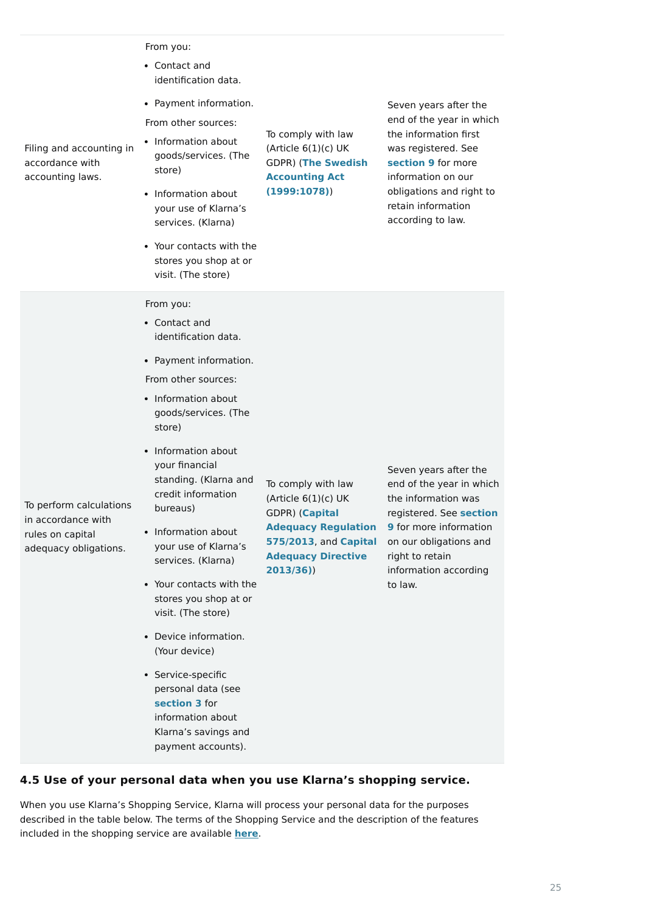Filing and accounting in accordance with accounting laws.

From you:

From other sources:

To comply with law (Article  $6(1)(c)$  UK GDPR) (**The Swedish [Accounting Act](https://www.riksdagen.se/sv/dokument-lagar/dokument/svensk-forfattningssamling/bokforingslag-19991078_sfs-1999-1078) (1999:1078)**)

Seven years after the end of the year in which the information first was registered. See **[section 9](https://cdn.klarna.com/1.0/shared/content/legal/terms/0/en_gb/privacy#9)** for more information on our obligations and right to retain information according to law.

To perform calculations in accordance with rules on capital adequacy obligations.

From you:

From other sources:

To comply with law (Article  $6(1)(c)$  UK GDPR) (**Capital [Adequacy Regulation](https://eur-lex.europa.eu/legal-content/SV/TXT/PDF/?uri=CELEX:02013R0575-20201228&qid=1615910341971&from=SV) 575/2013**, and **Capital [Adequacy Directive](https://eur-lex.europa.eu/legal-content/SV/TXT/PDF/?uri=CELEX:02013L0036-20201229&qid=1615910641599&from=SV) 2013/36)**)

- Contact and identification data.
- Payment information.

- Information about goods/services. (The store)
	- Information about your use of Klarna's services. (Klarna)
	- Your contacts with the stores you shop at or visit. (The store)

- Contact and identification data.
- Payment information.

Seven years after the end of the year in which the information was registered. See **section 9** [for more information](https://cdn.klarna.com/1.0/shared/content/legal/terms/0/en_gb/privacy#9) on our obligations and right to retain information according to law.

### **4.5 Use of your personal data when you use Klarna's shopping service.**

- Information about goods/services. (The store)
- Information about your financial standing. (Klarna and credit information bureaus)
- Information about your use of Klarna's services. (Klarna)
- Your contacts with the stores you shop at or visit. (The store)
- Device information. (Your device)
- Service-specific personal data (see

When you use Klarna's Shopping Service, Klarna will process your personal data for the purposes described in the table below. The terms of the Shopping Service and the description of the features included in the shopping service are available **[here](https://cdn.klarna.com/1.0/shared/content/legal/terms/Klarna/en_gb/user)**.

**[section 3](https://cdn.klarna.com/1.0/shared/content/legal/terms/0/en_gb/privacy#3)** for information about Klarna's savings and payment accounts).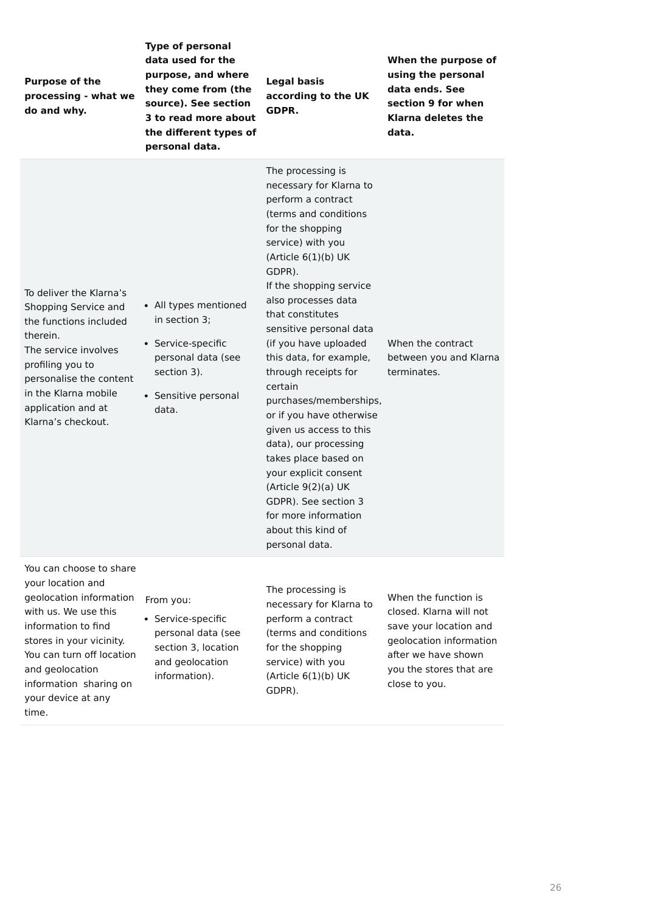| <b>Purpose of the</b><br>processing - what we<br>do and why.                                                                                                                                                                     | <b>Type of personal</b><br>data used for the<br>purpose, and where<br>they come from (the<br>source). See section<br>3 to read more about<br>the different types of<br>personal data. | <b>Legal basis</b><br>according to the UK<br><b>GDPR.</b>                                                                                                                                                                                                                                                                                                                                                                                                                                                                                                                                                                                 | When the purpose of<br>using the personal<br>data ends. See<br>section 9 for when<br><b>Klarna deletes the</b><br>data. |
|----------------------------------------------------------------------------------------------------------------------------------------------------------------------------------------------------------------------------------|---------------------------------------------------------------------------------------------------------------------------------------------------------------------------------------|-------------------------------------------------------------------------------------------------------------------------------------------------------------------------------------------------------------------------------------------------------------------------------------------------------------------------------------------------------------------------------------------------------------------------------------------------------------------------------------------------------------------------------------------------------------------------------------------------------------------------------------------|-------------------------------------------------------------------------------------------------------------------------|
| To deliver the Klarna's<br>Shopping Service and<br>the functions included<br>therein.<br>The service involves<br>profiling you to<br>personalise the content<br>in the Klarna mobile<br>application and at<br>Klarna's checkout. | • All types mentioned<br>in section 3;<br>• Service-specific<br>personal data (see<br>section 3).<br>• Sensitive personal<br>data.                                                    | The processing is<br>necessary for Klarna to<br>perform a contract<br>(terms and conditions<br>for the shopping<br>service) with you<br>(Article $6(1)(b)$ UK<br>GDPR).<br>If the shopping service<br>also processes data<br>that constitutes<br>sensitive personal data<br>(if you have uploaded<br>this data, for example,<br>through receipts for<br>certain<br>purchases/memberships,<br>or if you have otherwise<br>given us access to this<br>data), our processing<br>takes place based on<br>your explicit consent<br>(Article 9(2)(a) UK<br>GDPR). See section 3<br>for more information<br>about this kind of<br>personal data. | When the contract<br>between you and Klarna<br>terminates.                                                              |
| You can choose to share<br>your location and<br>geolocation information<br>with us. We use this                                                                                                                                  | From you:                                                                                                                                                                             | The processing is<br>necessary for Klarna to                                                                                                                                                                                                                                                                                                                                                                                                                                                                                                                                                                                              | When the function is<br>closed. Klarna will not                                                                         |

information to find

your device at any

time.

necessary for Klarna to perform a contract (terms and conditions for the shopping service) with you (Article 6(1)(b) UK

GDPR).

- stores in your vicinity. You can turn off location and geolocation information sharing on
- Service-specific personal data (see section 3, location and geolocation information).

closed. Klarna will not save your location and geolocation information after we have shown you the stores that are close to you.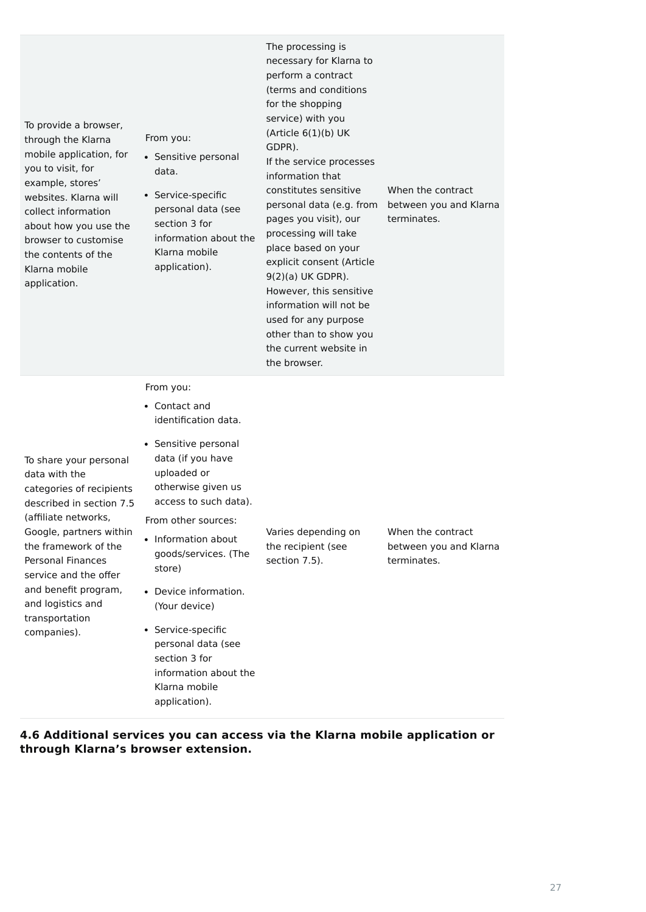| To provide a browser,<br>through the Klarna<br>mobile application, for<br>you to visit, for<br>example, stores'<br>websites. Klarna will<br>collect information<br>about how you use the<br>browser to customise<br>the contents of the<br>Klarna mobile<br>application.                                      | From you:<br>• Sensitive personal<br>data.<br>• Service-specific<br>personal data (see<br>section 3 for<br>information about the<br>Klarna mobile<br>application).                                                                                                                                                                                              | The processing is<br>necessary for Klarna to<br>perform a contract<br>(terms and conditions<br>for the shopping<br>service) with you<br>(Article 6(1)(b) UK<br>GDPR).<br>If the service processes<br>information that<br>constitutes sensitive<br>personal data (e.g. from<br>pages you visit), our<br>processing will take<br>place based on your<br>explicit consent (Article<br>$9(2)(a)$ UK GDPR).<br>However, this sensitive<br>information will not be<br>used for any purpose<br>other than to show you<br>the current website in<br>the browser. | When the contract<br>between you and Klarna<br>terminates. |
|---------------------------------------------------------------------------------------------------------------------------------------------------------------------------------------------------------------------------------------------------------------------------------------------------------------|-----------------------------------------------------------------------------------------------------------------------------------------------------------------------------------------------------------------------------------------------------------------------------------------------------------------------------------------------------------------|----------------------------------------------------------------------------------------------------------------------------------------------------------------------------------------------------------------------------------------------------------------------------------------------------------------------------------------------------------------------------------------------------------------------------------------------------------------------------------------------------------------------------------------------------------|------------------------------------------------------------|
| To share your personal<br>data with the<br>categories of recipients<br>described in section 7.5<br>(affiliate networks,<br>Google, partners within<br>the framework of the<br><b>Personal Finances</b><br>service and the offer<br>and benefit program,<br>and logistics and<br>transportation<br>companies). | From you:<br>• Contact and<br>identification data.<br>• Sensitive personal<br>data (if you have<br>uploaded or<br>otherwise given us<br>access to such data).<br>From other sources:<br>Information about<br>$\bullet$<br>goods/services. (The<br>store)<br>• Device information.<br>(Your device)<br>• Service-specific<br>personal data (see<br>section 3 for | Varies depending on<br>the recipient (see<br>section 7.5).                                                                                                                                                                                                                                                                                                                                                                                                                                                                                               | When the contract<br>between you and Klarna<br>terminates. |

### **4.6 Additional services you can access via the Klarna mobile application or through Klarna's browser extension.**

information about the

Klarna mobile

application).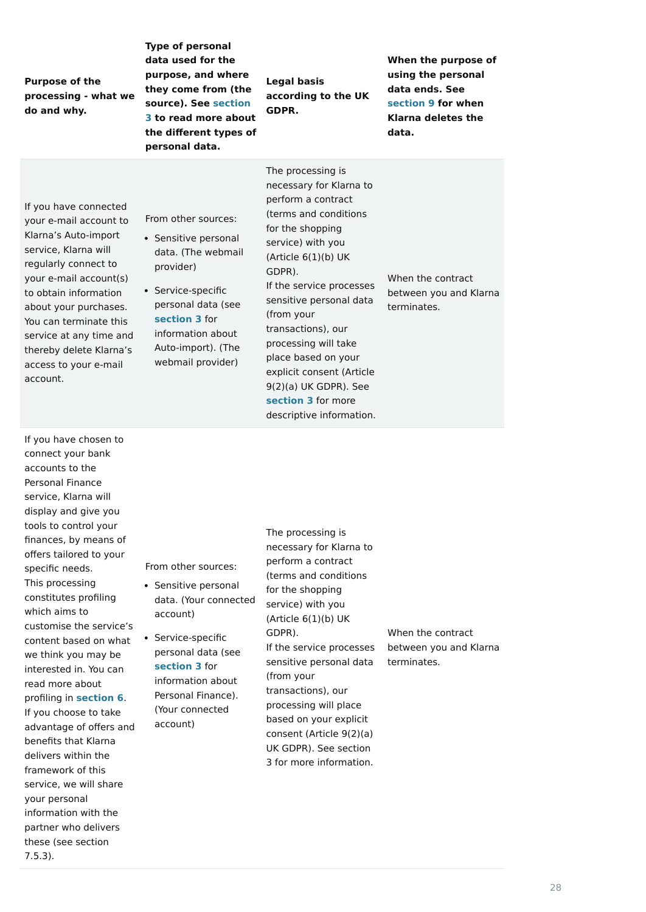**Purpose of the processing - what we do and why.**

**Type of personal data used for the purpose, and where they come from (the [source\). See section](https://cdn.klarna.com/1.0/shared/content/legal/terms/0/en_gb/privacy#3) 3 to read more about the different types of personal data.**

**Legal basis according to the UK GDPR.**

**When the purpose of using the personal data ends. See [section 9](https://cdn.klarna.com/1.0/shared/content/legal/terms/0/en_gb/privacy#9) for when Klarna deletes the data.**

If you have connected your e-mail account to Klarna's Auto-import service, Klarna will regularly connect to your e-mail account(s) to obtain information about your purchases. You can terminate this service at any time and thereby delete Klarna's access to your e-mail account.

From other sources:

The processing is necessary for Klarna to perform a contract (terms and conditions for the shopping service) with you (Article  $6(1)(b)$  UK GDPR). If the service processes sensitive personal data (from your transactions), our processing will take place based on your explicit consent (Article 9(2)(a) UK GDPR). See **[section 3](https://cdn.klarna.com/1.0/shared/content/legal/terms/0/en_gb/privacy#3)** for more descriptive information.

When the contract between you and Klarna terminates.

- Sensitive personal data. (The webmail provider)
- Service-specific personal data (see **[section 3](https://cdn.klarna.com/1.0/shared/content/legal/terms/0/en_gb/privacy#3)** for information about Auto-import). (The webmail provider)

- Sensitive personal data. (Your connected account)
- Service-specific personal data (see **[section 3](https://cdn.klarna.com/1.0/shared/content/legal/terms/0/en_gb/privacy#3)** for information about

If you have chosen to connect your bank accounts to the Personal Finance service, Klarna will display and give you tools to control your finances, by means of offers tailored to your specific needs. This processing constitutes profiling which aims to customise the service's content based on what we think you may be interested in. You can read more about

profiling in **[section 6](https://cdn.klarna.com/1.0/shared/content/legal/terms/0/en_gb/privacy#6)**. If you choose to take advantage of offers and benefits that Klarna delivers within the framework of this service, we will share your personal information with the partner who delivers these (see section 7.5.3).

From other sources:

The processing is necessary for Klarna to perform a contract (terms and conditions for the shopping service) with you (Article 6(1)(b) UK GDPR). If the service processes sensitive personal data (from your transactions), our processing will place based on your explicit consent (Article 9(2)(a) UK GDPR). See section 3 for more information.

When the contract between you and Klarna terminates.

Personal Finance). (Your connected account)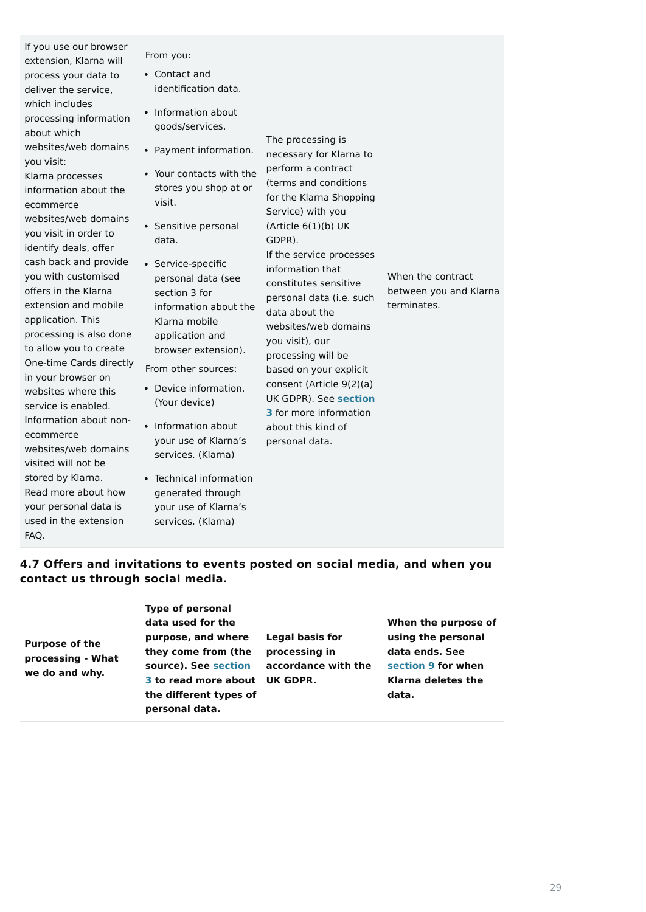If you use our browser extension, Klarna will process your data to deliver the service, which includes processing information about which websites/web domains you visit: Klarna processes

information about the ecommerce websites/web domains you visit in order to identify deals, offer cash back and provide you with customised offers in the Klarna extension and mobile application. This processing is also done to allow you to create One-time Cards directly in your browser on websites where this service is enabled. Information about nonecommerce websites/web domains visited will not be stored by Klarna. Read more about how your personal data is used in the extension FAQ.

From you:

From other sources:

The processing is necessary for Klarna to perform a contract (terms and conditions for the Klarna Shopping Service) with you (Article  $6(1)(b)$  UK GDPR). If the service processes information that constitutes sensitive personal data (i.e. such data about the websites/web domains you visit), our processing will be based on your explicit consent (Article 9(2)(a) UK GDPR). See **section 3** [for more information](https://cdn.klarna.com/1.0/shared/content/legal/terms/0/en_gb/privacy#3) about this kind of personal data.

When the contract between you and Klarna terminates.

## **4.7 Offers and invitations to events posted on social media, and when you contact us through social media.**

**Purpose of the processing - What we do and why.**

**Type of personal data used for the purpose, and where they come from (the [source\). See section](https://cdn.klarna.com/1.0/shared/content/legal/terms/0/en_gb/privacy#3) 3 to read more about UK GDPR.**

**the different types of personal data.**

**Legal basis for processing in accordance with the** **When the purpose of using the personal data ends. See [section 9](https://cdn.klarna.com/1.0/shared/content/legal/terms/0/en_gb/privacy#9) for when Klarna deletes the**

**data.**

- Contact and identification data.
- Information about goods/services.
- Payment information.
- Your contacts with the stores you shop at or visit.
- Sensitive personal data.
- Service-specific personal data (see section 3 for information about the Klarna mobile application and browser extension).

- Device information. (Your device)
- Information about your use of Klarna's services. (Klarna)
- Technical information generated through your use of Klarna's services. (Klarna)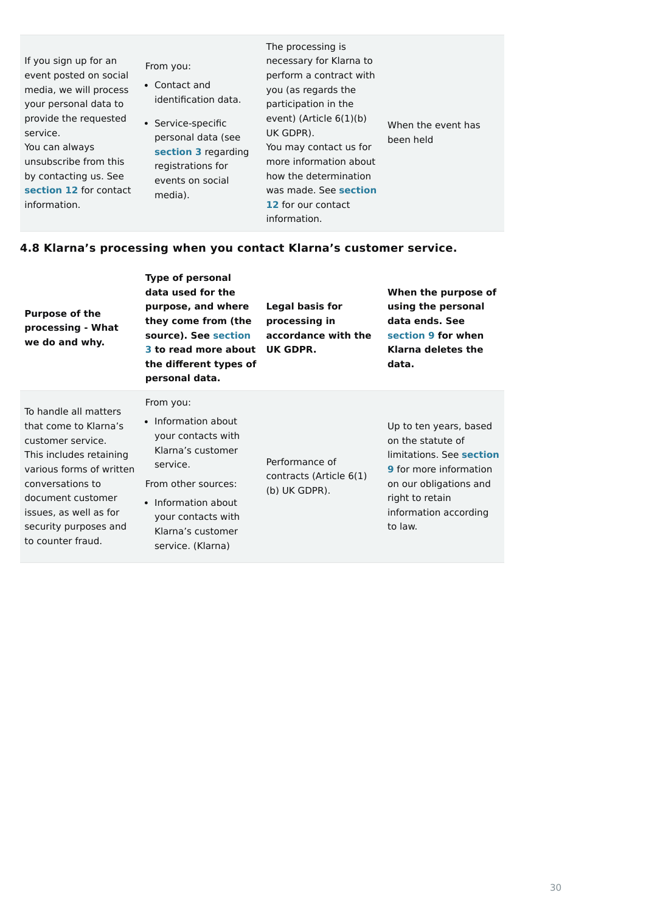If you sign up for an event posted on social media, we will process your personal data to provide the requested service.

From you: Contact and identification data. • Service-specific

You can always unsubscribe from this by contacting us. See **[section 12](https://cdn.klarna.com/1.0/shared/content/legal/terms/0/en_gb/privacy#12)** for contact information.

The processing is necessary for Klarna to perform a contract with you (as regards the participation in the event) (Article 6(1)(b) UK GDPR). You may contact us for more information about how the determination [was made. See](https://cdn.klarna.com/1.0/shared/content/legal/terms/0/en_gb/privacy#12) **section 12** for our contact information.

When the event has been held

## **4.8 Klarna's processing when you contact Klarna's customer service.**

| <b>Purpose of the</b><br>processing - What<br>we do and why.                                                                                                                                                                                | <b>Type of personal</b><br>data used for the<br>purpose, and where<br>they come from (the<br>source). See section<br>3 to read more about<br>the different types of<br>personal data.                 | <b>Legal basis for</b><br>processing in<br>accordance with the<br>UK GDPR. | When the purpose of<br>using the personal<br>data ends. See<br>section 9 for when<br>Klarna deletes the<br>data.                                                                          |
|---------------------------------------------------------------------------------------------------------------------------------------------------------------------------------------------------------------------------------------------|-------------------------------------------------------------------------------------------------------------------------------------------------------------------------------------------------------|----------------------------------------------------------------------------|-------------------------------------------------------------------------------------------------------------------------------------------------------------------------------------------|
| To handle all matters<br>that come to Klarna's<br>customer service.<br>This includes retaining<br>various forms of written<br>conversations to<br>document customer<br>issues, as well as for<br>security purposes and<br>to counter fraud. | From you:<br>• Information about<br>your contacts with<br>Klarna's customer<br>service.<br>From other sources:<br>• Information about<br>your contacts with<br>Klarna's customer<br>service. (Klarna) | Performance of<br>contracts (Article 6(1)<br>$(b)$ UK GDPR).               | Up to ten years, based<br>on the statute of<br>limitations. See section<br><b>9</b> for more information<br>on our obligations and<br>right to retain<br>information according<br>to law. |

personal data (see **[section 3](https://cdn.klarna.com/1.0/shared/content/legal/terms/0/en_gb/privacy#3)** regarding registrations for events on social media).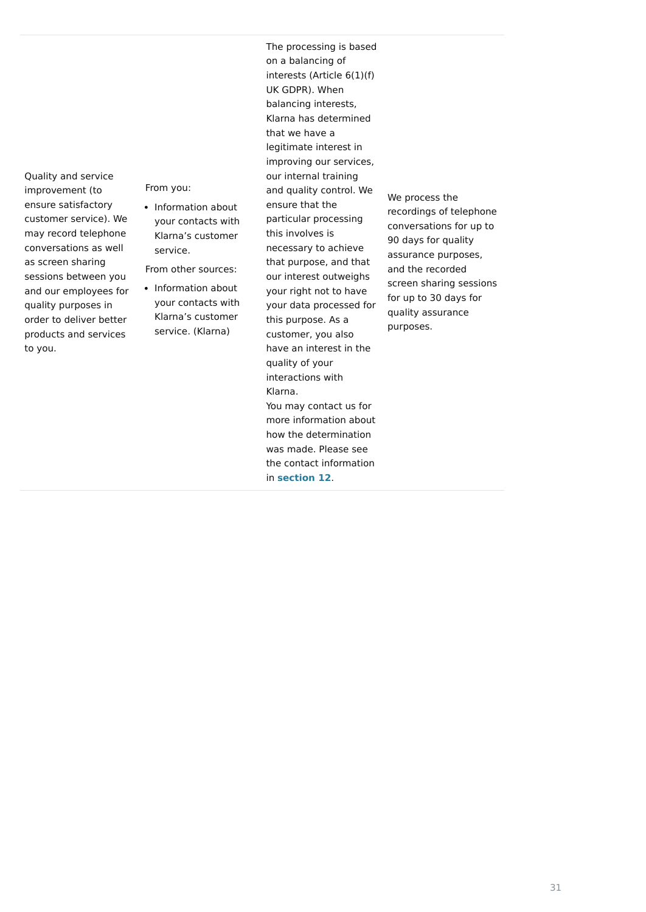Quality and service improvement (to ensure satisfactory customer service). We may record telephone conversations as well as screen sharing sessions between you and our employees for quality purposes in order to deliver better products and services to you.

From you:

From other sources:

• Information about your contacts with Klarna's customer service.

The processing is based on a balancing of interests (Article 6(1)(f) UK GDPR). When balancing interests, Klarna has determined that we have a legitimate interest in improving our services, our internal training and quality control. We ensure that the particular processing this involves is necessary to achieve that purpose, and that our interest outweighs your right not to have your data processed for this purpose. As a customer, you also have an interest in the quality of your interactions with Klarna. You may contact us for more information about how the determination was made. Please see the contact information in **[section 12](https://cdn.klarna.com/1.0/shared/content/legal/terms/0/en_gb/privacy#12)**.

• Information about your contacts with Klarna's customer service. (Klarna)

We process the recordings of telephone conversations for up to 90 days for quality assurance purposes, and the recorded screen sharing sessions for up to 30 days for quality assurance purposes.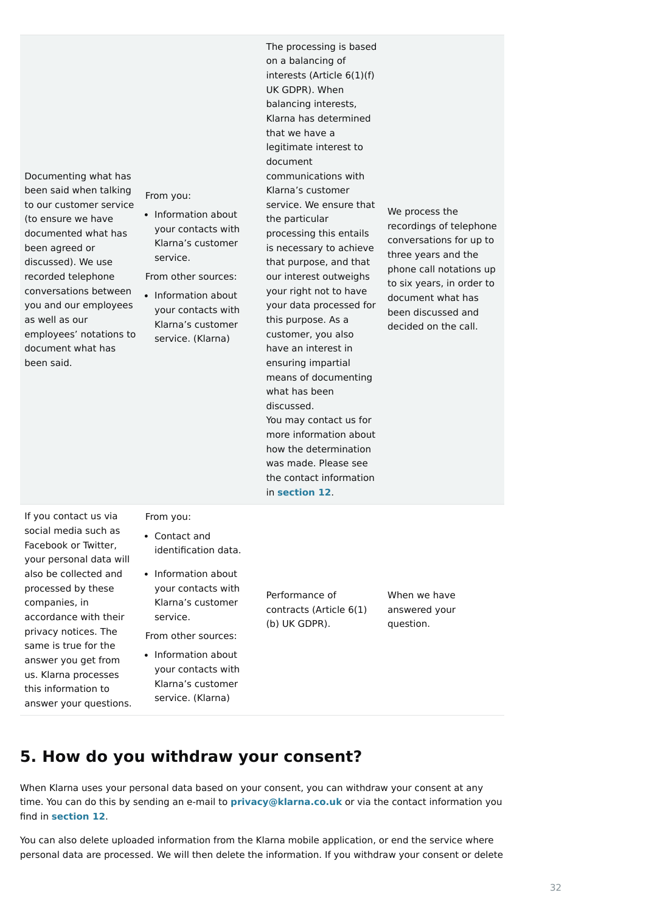Documenting what has been said when talking to our customer service (to ensure we have documented what has been agreed or discussed). We use recorded telephone conversations between you and our employees as well as our employees' notations to document what has been said.

From you:

From other sources:

The processing is based on a balancing of interests (Article 6(1)(f) UK GDPR). When balancing interests, Klarna has determined that we have a legitimate interest to document communications with Klarna's customer service. We ensure that the particular processing this entails is necessary to achieve that purpose, and that our interest outweighs your right not to have your data processed for this purpose. As a customer, you also have an interest in ensuring impartial means of documenting what has been discussed. You may contact us for more information about how the determination was made. Please see the contact information in **[section 12](https://cdn.klarna.com/1.0/shared/content/legal/terms/0/en_gb/privacy#12)**.

• Information about your contacts with Klarna's customer service.

We process the recordings of telephone conversations for up to three years and the phone call notations up to six years, in order to document what has been discussed and decided on the call.

• Information about your contacts with Klarna's customer service. (Klarna)

• Information about your contacts with Klarna's customer

If you contact us via social media such as Facebook or Twitter, your personal data will also be collected and processed by these companies, in accordance with their privacy notices. The same is true for the answer you get from us. Klarna processes

this information to

answer your questions.

From you:

From other sources:

Performance of contracts (Article 6(1) (b) UK GDPR).

When we have answered your question.

# **5. How do you withdraw your consent?**

When Klarna uses your personal data based on your consent, you can withdraw your consent at any time. You can do this by sending an e-mail to **[privacy@klarna.co.uk](mailto:privacy@klarna.co.uk)** or via the contact information you find in **[section 12](https://cdn.klarna.com/1.0/shared/content/legal/terms/0/en_gb/privacy#12)**.

You can also delete uploaded information from the Klarna mobile application, or end the service where personal data are processed. We will then delete the information. If you withdraw your consent or delete

- Contact and identification data.
- Information about your contacts with Klarna's customer service.

service. (Klarna)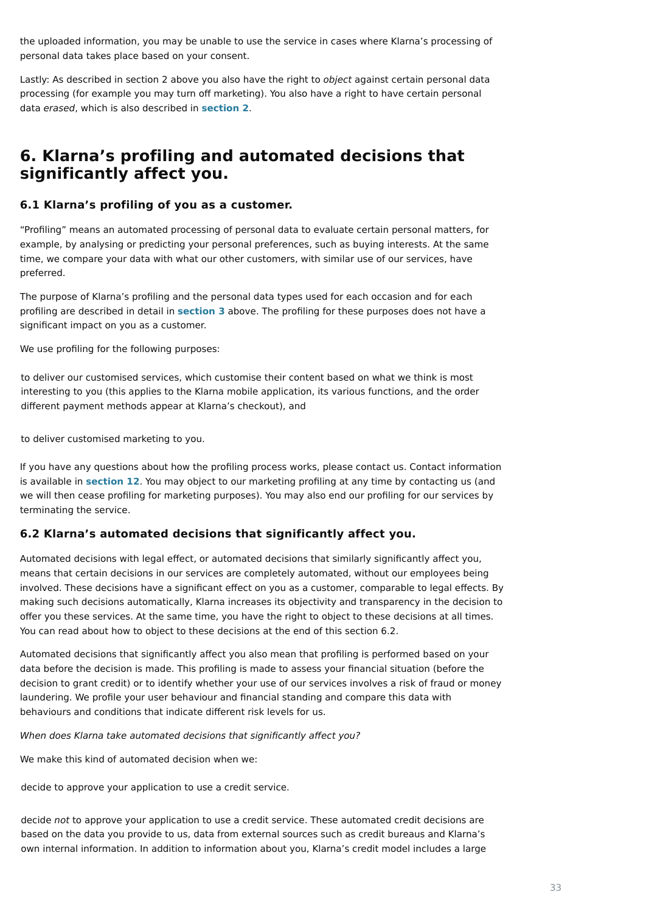the uploaded information, you may be unable to use the service in cases where Klarna's processing of personal data takes place based on your consent.

Lastly: As described in section 2 above you also have the right to *object* against certain personal data processing (for example you may turn off marketing). You also have a right to have certain personal data erased, which is also described in **[section 2](https://cdn.klarna.com/1.0/shared/content/legal/terms/0/en_gb/privacy#2)**.

# **6. Klarna's profiling and automated decisions that significantly affect you.**

### **6.1 Klarna's profiling of you as a customer.**

"Profiling" means an automated processing of personal data to evaluate certain personal matters, for example, by analysing or predicting your personal preferences, such as buying interests. At the same time, we compare your data with what our other customers, with similar use of our services, have preferred.

The purpose of Klarna's profiling and the personal data types used for each occasion and for each profiling are described in detail in **[section 3](https://cdn.klarna.com/1.0/shared/content/legal/terms/0/en_gb/privacy#3)** above. The profiling for these purposes does not have a significant impact on you as a customer.

We use profiling for the following purposes:

If you have any questions about how the profiling process works, please contact us. Contact information is available in **[section 12](https://cdn.klarna.com/1.0/shared/content/legal/terms/0/en_gb/privacy#12)**. You may object to our marketing profiling at any time by contacting us (and we will then cease profiling for marketing purposes). You may also end our profiling for our services by terminating the service.

### **6.2 Klarna's automated decisions that significantly affect you.**

Automated decisions with legal effect, or automated decisions that similarly significantly affect you, means that certain decisions in our services are completely automated, without our employees being involved. These decisions have a significant effect on you as a customer, comparable to legal effects. By making such decisions automatically, Klarna increases its objectivity and transparency in the decision to offer you these services. At the same time, you have the right to object to these decisions at all times. You can read about how to object to these decisions at the end of this section 6.2.

Automated decisions that significantly affect you also mean that profiling is performed based on your data before the decision is made. This profiling is made to assess your financial situation (before the decision to grant credit) or to identify whether your use of our services involves a risk of fraud or money

laundering. We profile your user behaviour and financial standing and compare this data with behaviours and conditions that indicate different risk levels for us.

When does Klarna take automated decisions that significantly affect you?

We make this kind of automated decision when we:

to deliver our customised services, which customise their content based on what we think is most interesting to you (this applies to the Klarna mobile application, its various functions, and the order different payment methods appear at Klarna's checkout), and

to deliver customised marketing to you.

decide to approve your application to use a credit service.

decide not to approve your application to use a credit service. These automated credit decisions are based on the data you provide to us, data from external sources such as credit bureaus and Klarna's own internal information. In addition to information about you, Klarna's credit model includes a large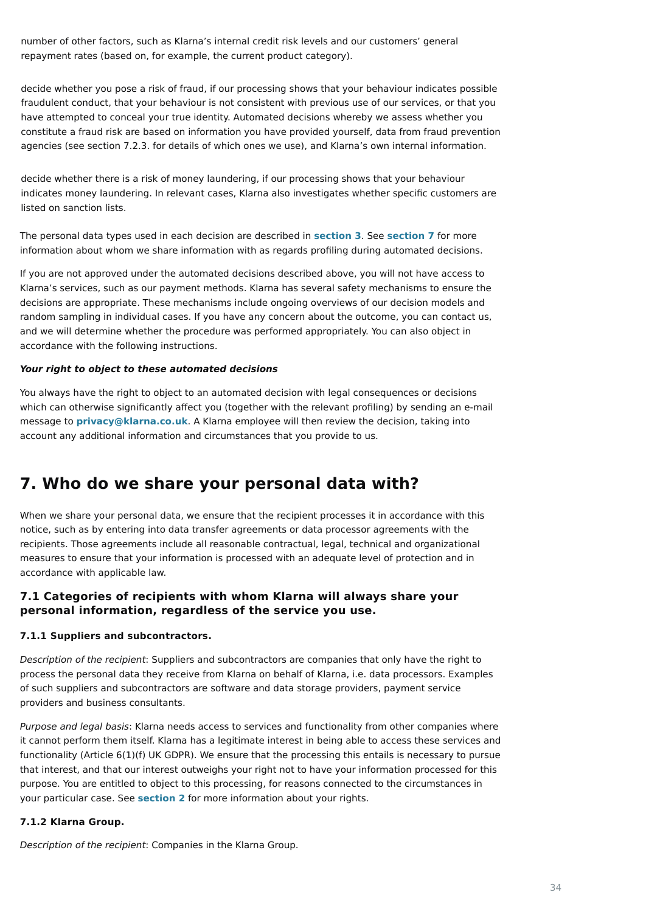The personal data types used in each decision are described in **[section 3](https://cdn.klarna.com/1.0/shared/content/legal/terms/0/en_gb/privacy#3)**. See **[section 7](https://cdn.klarna.com/1.0/shared/content/legal/terms/0/en_gb/privacy#7)** for more information about whom we share information with as regards profiling during automated decisions.

If you are not approved under the automated decisions described above, you will not have access to Klarna's services, such as our payment methods. Klarna has several safety mechanisms to ensure the decisions are appropriate. These mechanisms include ongoing overviews of our decision models and random sampling in individual cases. If you have any concern about the outcome, you can contact us, and we will determine whether the procedure was performed appropriately. You can also object in accordance with the following instructions.

#### **Your right to object to these automated decisions**

You always have the right to object to an automated decision with legal consequences or decisions which can otherwise significantly affect you (together with the relevant profiling) by sending an e-mail message to **[privacy@klarna.co.uk](mailto:privacy@klarna.co.uk)**. A Klarna employee will then review the decision, taking into account any additional information and circumstances that you provide to us.

# **7. Who do we share your personal data with?**

Purpose and legal basis: Klarna needs access to services and functionality from other companies where it cannot perform them itself. Klarna has a legitimate interest in being able to access these services and functionality (Article 6(1)(f) UK GDPR). We ensure that the processing this entails is necessary to pursue that interest, and that our interest outweighs your right not to have your information processed for this purpose. You are entitled to object to this processing, for reasons connected to the circumstances in your particular case. See **[section 2](https://cdn.klarna.com/1.0/shared/content/legal/terms/0/en_gb/privacy#2)** for more information about your rights.

When we share your personal data, we ensure that the recipient processes it in accordance with this notice, such as by entering into data transfer agreements or data processor agreements with the recipients. Those agreements include all reasonable contractual, legal, technical and organizational measures to ensure that your information is processed with an adequate level of protection and in accordance with applicable law.

### **7.1 Categories of recipients with whom Klarna will always share your personal information, regardless of the service you use.**

#### **7.1.1 Suppliers and subcontractors.**

Description of the recipient: Suppliers and subcontractors are companies that only have the right to process the personal data they receive from Klarna on behalf of Klarna, i.e. data processors. Examples of such suppliers and subcontractors are software and data storage providers, payment service providers and business consultants.

#### **7.1.2 Klarna Group.**

Description of the recipient: Companies in the Klarna Group.

number of other factors, such as Klarna's internal credit risk levels and our customers' general repayment rates (based on, for example, the current product category).

decide whether you pose a risk of fraud, if our processing shows that your behaviour indicates possible fraudulent conduct, that your behaviour is not consistent with previous use of our services, or that you have attempted to conceal your true identity. Automated decisions whereby we assess whether you constitute a fraud risk are based on information you have provided yourself, data from fraud prevention agencies (see section 7.2.3. for details of which ones we use), and Klarna's own internal information.

decide whether there is a risk of money laundering, if our processing shows that your behaviour indicates money laundering. In relevant cases, Klarna also investigates whether specific customers are listed on sanction lists.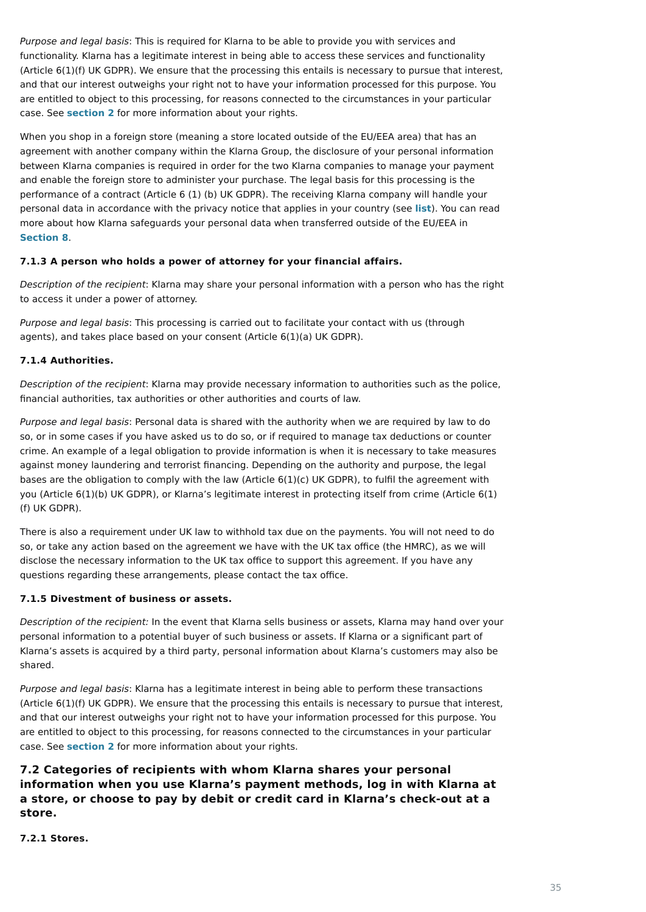Purpose and legal basis: This is required for Klarna to be able to provide you with services and functionality. Klarna has a legitimate interest in being able to access these services and functionality (Article 6(1)(f) UK GDPR). We ensure that the processing this entails is necessary to pursue that interest, and that our interest outweighs your right not to have your information processed for this purpose. You are entitled to object to this processing, for reasons connected to the circumstances in your particular case. See **[section 2](https://cdn.klarna.com/1.0/shared/content/legal/terms/0/en_gb/privacy#2)** for more information about your rights.

Purpose and legal basis: This processing is carried out to facilitate your contact with us (through agents), and takes place based on your consent (Article 6(1)(a) UK GDPR).

When you shop in a foreign store (meaning a store located outside of the EU/EEA area) that has an agreement with another company within the Klarna Group, the disclosure of your personal information between Klarna companies is required in order for the two Klarna companies to manage your payment and enable the foreign store to administer your purchase. The legal basis for this processing is the performance of a contract (Article 6 (1) (b) UK GDPR). The receiving Klarna company will handle your personal data in accordance with the privacy notice that applies in your country (see **[list](https://www.klarna.com/international/privacy-policy/)**). You can read more about how Klarna safeguards your personal data when transferred outside of the EU/EEA in **[Section 8](https://cdn.klarna.com/1.0/shared/content/legal/terms/0/en_gb/privacy#8)**.

#### **7.1.3 A person who holds a power of attorney for your financial affairs.**

Description of the recipient: Klarna may share your personal information with a person who has the right to access it under a power of attorney.

#### **7.1.4 Authorities.**

Description of the recipient: Klarna may provide necessary information to authorities such as the police, financial authorities, tax authorities or other authorities and courts of law.

Purpose and legal basis: Klarna has a legitimate interest in being able to perform these transactions (Article 6(1)(f) UK GDPR). We ensure that the processing this entails is necessary to pursue that interest, and that our interest outweighs your right not to have your information processed for this purpose. You are entitled to object to this processing, for reasons connected to the circumstances in your particular case. See **[section 2](https://cdn.klarna.com/1.0/shared/content/legal/terms/0/en_gb/privacy#2)** for more information about your rights.

Purpose and legal basis: Personal data is shared with the authority when we are required by law to do so, or in some cases if you have asked us to do so, or if required to manage tax deductions or counter crime. An example of a legal obligation to provide information is when it is necessary to take measures against money laundering and terrorist financing. Depending on the authority and purpose, the legal bases are the obligation to comply with the law (Article 6(1)(c) UK GDPR), to fulfil the agreement with you (Article 6(1)(b) UK GDPR), or Klarna's legitimate interest in protecting itself from crime (Article 6(1) (f) UK GDPR).

There is also a requirement under UK law to withhold tax due on the payments. You will not need to do so, or take any action based on the agreement we have with the UK tax office (the HMRC), as we will disclose the necessary information to the UK tax office to support this agreement. If you have any questions regarding these arrangements, please contact the tax office.

#### **7.1.5 Divestment of business or assets.**

Description of the recipient: In the event that Klarna sells business or assets, Klarna may hand over your personal information to a potential buyer of such business or assets. If Klarna or a significant part of Klarna's assets is acquired by a third party, personal information about Klarna's customers may also be shared.

**7.2 Categories of recipients with whom Klarna shares your personal information when you use Klarna's payment methods, log in with Klarna at a store, or choose to pay by debit or credit card in Klarna's check-out at a store.**

**7.2.1 Stores.**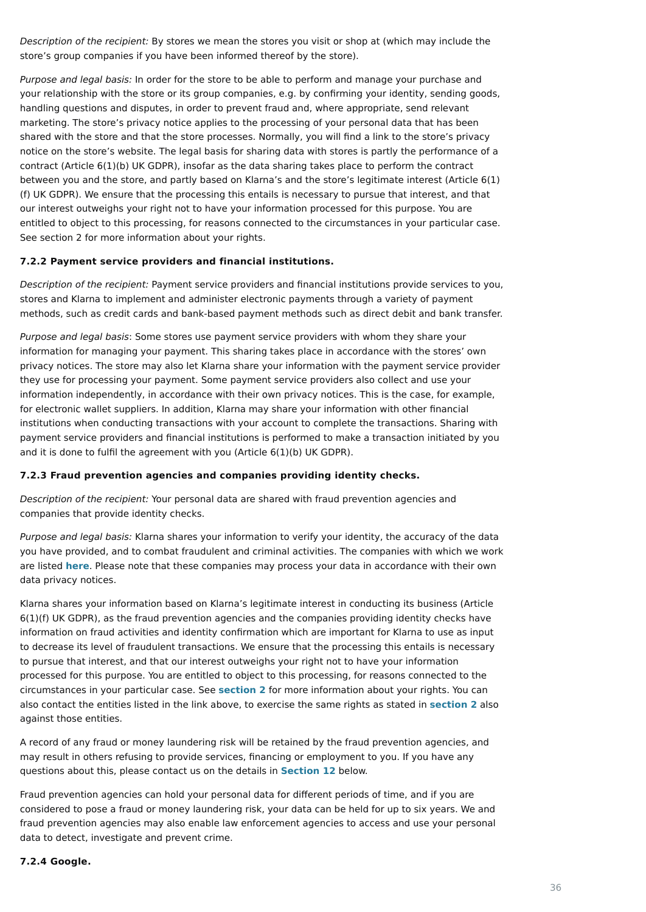Description of the recipient: By stores we mean the stores you visit or shop at (which may include the store's group companies if you have been informed thereof by the store).

Purpose and legal basis: In order for the store to be able to perform and manage your purchase and your relationship with the store or its group companies, e.g. by confirming your identity, sending goods, handling questions and disputes, in order to prevent fraud and, where appropriate, send relevant marketing. The store's privacy notice applies to the processing of your personal data that has been shared with the store and that the store processes. Normally, you will find a link to the store's privacy notice on the store's website. The legal basis for sharing data with stores is partly the performance of a contract (Article 6(1)(b) UK GDPR), insofar as the data sharing takes place to perform the contract between you and the store, and partly based on Klarna's and the store's legitimate interest (Article 6(1) (f) UK GDPR). We ensure that the processing this entails is necessary to pursue that interest, and that our interest outweighs your right not to have your information processed for this purpose. You are entitled to object to this processing, for reasons connected to the circumstances in your particular case. See section 2 for more information about your rights.

Purpose and legal basis: Some stores use payment service providers with whom they share your information for managing your payment. This sharing takes place in accordance with the stores' own privacy notices. The store may also let Klarna share your information with the payment service provider they use for processing your payment. Some payment service providers also collect and use your information independently, in accordance with their own privacy notices. This is the case, for example, for electronic wallet suppliers. In addition, Klarna may share your information with other financial institutions when conducting transactions with your account to complete the transactions. Sharing with payment service providers and financial institutions is performed to make a transaction initiated by you and it is done to fulfil the agreement with you (Article 6(1)(b) UK GDPR).

#### **7.2.2 Payment service providers and financial institutions.**

Purpose and legal basis: Klarna shares your information to verify your identity, the accuracy of the data you have provided, and to combat fraudulent and criminal activities. The companies with which we work are listed **[here](https://cdn.klarna.com/1.0/shared/content/legal/terms/0/en_gb/credit_rating_agencies)**. Please note that these companies may process your data in accordance with their own data privacy notices.

Description of the recipient: Payment service providers and financial institutions provide services to you, stores and Klarna to implement and administer electronic payments through a variety of payment methods, such as credit cards and bank-based payment methods such as direct debit and bank transfer.

#### **7.2.3 Fraud prevention agencies and companies providing identity checks.**

Description of the recipient: Your personal data are shared with fraud prevention agencies and companies that provide identity checks.

Klarna shares your information based on Klarna's legitimate interest in conducting its business (Article 6(1)(f) UK GDPR), as the fraud prevention agencies and the companies providing identity checks have information on fraud activities and identity confirmation which are important for Klarna to use as input to decrease its level of fraudulent transactions. We ensure that the processing this entails is necessary to pursue that interest, and that our interest outweighs your right not to have your information processed for this purpose. You are entitled to object to this processing, for reasons connected to the circumstances in your particular case. See **[section 2](https://cdn.klarna.com/1.0/shared/content/legal/terms/0/en_gb/privacy#2)** for more information about your rights. You can also contact the entities listed in the link above, to exercise the same rights as stated in **[section 2](https://cdn.klarna.com/1.0/shared/content/legal/terms/0/en_gb/privacy#2)** also against those entities.

A record of any fraud or money laundering risk will be retained by the fraud prevention agencies, and may result in others refusing to provide services, financing or employment to you. If you have any questions about this, please contact us on the details in **[Section 12](https://cdn.klarna.com/1.0/shared/content/legal/terms/0/en_gb/privacy#12)** below.

Fraud prevention agencies can hold your personal data for different periods of time, and if you are considered to pose a fraud or money laundering risk, your data can be held for up to six years. We and fraud prevention agencies may also enable law enforcement agencies to access and use your personal data to detect, investigate and prevent crime.

#### **7.2.4 Google.**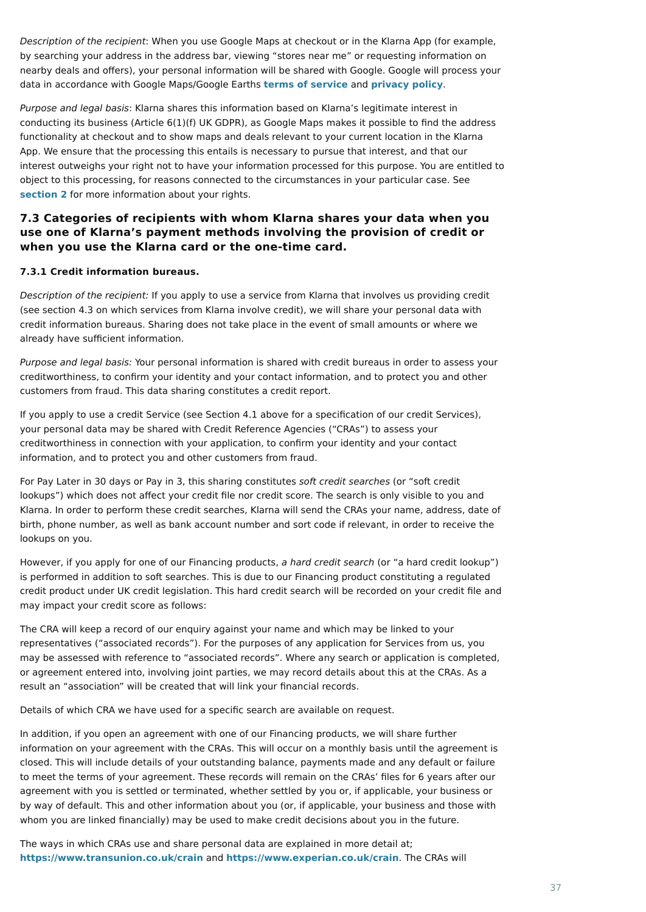Description of the recipient: When you use Google Maps at checkout or in the Klarna App (for example, by searching your address in the address bar, viewing "stores near me" or requesting information on nearby deals and offers), your personal information will be shared with Google. Google will process your data in accordance with Google Maps/Google Earths **[terms of service](https://policies.google.com/terms?hl=en)** and **[privacy policy](https://policies.google.com/privacy?hl=en)**.

Purpose and legal basis: Klarna shares this information based on Klarna's legitimate interest in conducting its business (Article 6(1)(f) UK GDPR), as Google Maps makes it possible to find the address functionality at checkout and to show maps and deals relevant to your current location in the Klarna App. We ensure that the processing this entails is necessary to pursue that interest, and that our interest outweighs your right not to have your information processed for this purpose. You are entitled to object to this processing, for reasons connected to the circumstances in your particular case. See **[section 2](https://cdn.klarna.com/1.0/shared/content/legal/terms/0/en_gb/privacy#2)** for more information about your rights.

Purpose and legal basis: Your personal information is shared with credit bureaus in order to assess your creditworthiness, to confirm your identity and your contact information, and to protect you and other customers from fraud. This data sharing constitutes a credit report.

## **7.3 Categories of recipients with whom Klarna shares your data when you use one of Klarna's payment methods involving the provision of credit or when you use the Klarna card or the one-time card.**

### **7.3.1 Credit information bureaus.**

Description of the recipient: If you apply to use a service from Klarna that involves us providing credit (see section 4.3 on which services from Klarna involve credit), we will share your personal data with credit information bureaus. Sharing does not take place in the event of small amounts or where we already have sufficient information.

However, if you apply for one of our Financing products, a hard credit search (or "a hard credit lookup") is performed in addition to soft searches. This is due to our Financing product constituting a regulated credit product under UK credit legislation. This hard credit search will be recorded on your credit file and may impact your credit score as follows:

If you apply to use a credit Service (see Section 4.1 above for a specification of our credit Services), your personal data may be shared with Credit Reference Agencies ("CRAs") to assess your creditworthiness in connection with your application, to confirm your identity and your contact information, and to protect you and other customers from fraud.

For Pay Later in 30 days or Pay in 3, this sharing constitutes soft credit searches (or "soft credit lookups") which does not affect your credit file nor credit score. The search is only visible to you and Klarna. In order to perform these credit searches, Klarna will send the CRAs your name, address, date of birth, phone number, as well as bank account number and sort code if relevant, in order to receive the lookups on you.

The CRA will keep a record of our enquiry against your name and which may be linked to your representatives ("associated records"). For the purposes of any application for Services from us, you may be assessed with reference to "associated records". Where any search or application is completed, or agreement entered into, involving joint parties, we may record details about this at the CRAs. As a result an "association" will be created that will link your financial records.

Details of which CRA we have used for a specific search are available on request.

In addition, if you open an agreement with one of our Financing products, we will share further information on your agreement with the CRAs. This will occur on a monthly basis until the agreement is closed. This will include details of your outstanding balance, payments made and any default or failure to meet the terms of your agreement. These records will remain on the CRAs' files for 6 years after our agreement with you is settled or terminated, whether settled by you or, if applicable, your business or by way of default. This and other information about you (or, if applicable, your business and those with whom you are linked financially) may be used to make credit decisions about you in the future.

The ways in which CRAs use and share personal data are explained in more detail at; **<https://www.transunion.co.uk/crain>** and **<https://www.experian.co.uk/crain>**. The CRAs will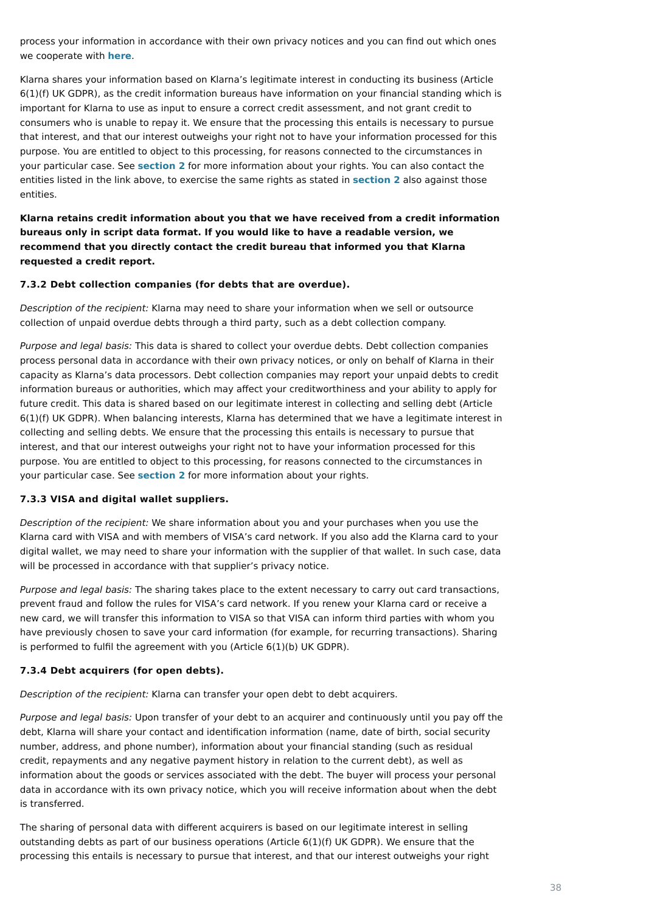process your information in accordance with their own privacy notices and you can find out which ones we cooperate with **[here](https://cdn.klarna.com/1.0/shared/content/legal/terms/0/en_gb/credit_rating_agencies)**.

Klarna shares your information based on Klarna's legitimate interest in conducting its business (Article 6(1)(f) UK GDPR), as the credit information bureaus have information on your financial standing which is important for Klarna to use as input to ensure a correct credit assessment, and not grant credit to consumers who is unable to repay it. We ensure that the processing this entails is necessary to pursue that interest, and that our interest outweighs your right not to have your information processed for this purpose. You are entitled to object to this processing, for reasons connected to the circumstances in your particular case. See **[section 2](https://cdn.klarna.com/1.0/shared/content/legal/terms/0/en_gb/privacy#2)** for more information about your rights. You can also contact the entities listed in the link above, to exercise the same rights as stated in **[section 2](https://cdn.klarna.com/1.0/shared/content/legal/terms/0/en_gb/privacy#2)** also against those entities.

**Klarna retains credit information about you that we have received from a credit information bureaus only in script data format. If you would like to have a readable version, we recommend that you directly contact the credit bureau that informed you that Klarna requested a credit report.**

#### **7.3.2 Debt collection companies (for debts that are overdue).**

Description of the recipient: Klarna may need to share your information when we sell or outsource collection of unpaid overdue debts through a third party, such as a debt collection company.

Purpose and legal basis: This data is shared to collect your overdue debts. Debt collection companies process personal data in accordance with their own privacy notices, or only on behalf of Klarna in their capacity as Klarna's data processors. Debt collection companies may report your unpaid debts to credit information bureaus or authorities, which may affect your creditworthiness and your ability to apply for future credit. This data is shared based on our legitimate interest in collecting and selling debt (Article 6(1)(f) UK GDPR). When balancing interests, Klarna has determined that we have a legitimate interest in collecting and selling debts. We ensure that the processing this entails is necessary to pursue that interest, and that our interest outweighs your right not to have your information processed for this purpose. You are entitled to object to this processing, for reasons connected to the circumstances in your particular case. See **[section 2](https://cdn.klarna.com/1.0/shared/content/legal/terms/0/en_gb/privacy#2)** for more information about your rights.

#### **7.3.3 VISA and digital wallet suppliers.**

Description of the recipient: We share information about you and your purchases when you use the Klarna card with VISA and with members of VISA's card network. If you also add the Klarna card to your digital wallet, we may need to share your information with the supplier of that wallet. In such case, data will be processed in accordance with that supplier's privacy notice.

Purpose and legal basis: The sharing takes place to the extent necessary to carry out card transactions, prevent fraud and follow the rules for VISA's card network. If you renew your Klarna card or receive a new card, we will transfer this information to VISA so that VISA can inform third parties with whom you have previously chosen to save your card information (for example, for recurring transactions). Sharing is performed to fulfil the agreement with you (Article 6(1)(b) UK GDPR).

#### **7.3.4 Debt acquirers (for open debts).**

Description of the recipient: Klarna can transfer your open debt to debt acquirers.

Purpose and legal basis: Upon transfer of your debt to an acquirer and continuously until you pay off the debt, Klarna will share your contact and identification information (name, date of birth, social security number, address, and phone number), information about your financial standing (such as residual credit, repayments and any negative payment history in relation to the current debt), as well as information about the goods or services associated with the debt. The buyer will process your personal data in accordance with its own privacy notice, which you will receive information about when the debt is transferred.

The sharing of personal data with different acquirers is based on our legitimate interest in selling outstanding debts as part of our business operations (Article 6(1)(f) UK GDPR). We ensure that the processing this entails is necessary to pursue that interest, and that our interest outweighs your right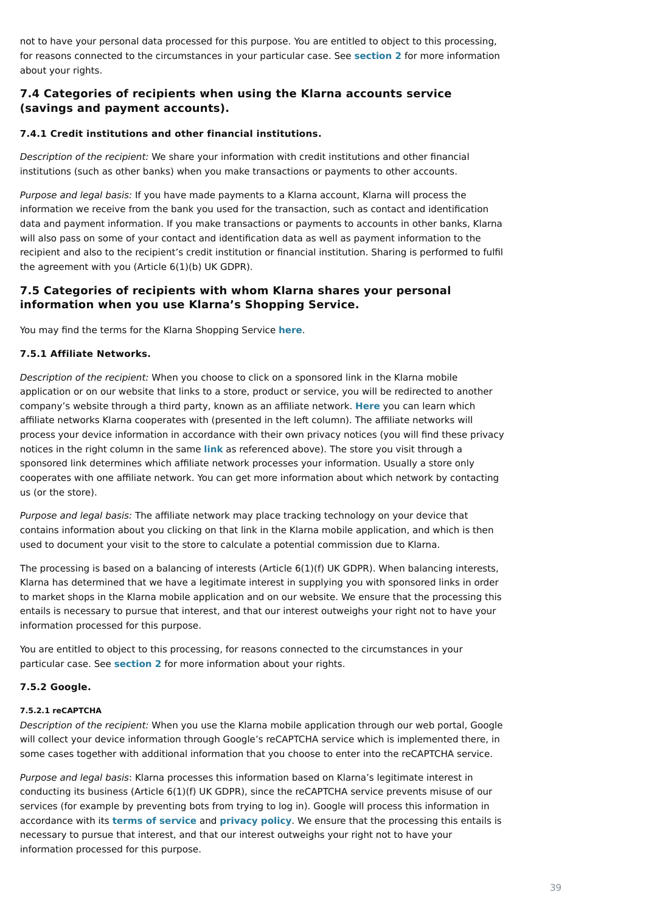not to have your personal data processed for this purpose. You are entitled to object to this processing, for reasons connected to the circumstances in your particular case. See **[section 2](https://cdn.klarna.com/1.0/shared/content/legal/terms/0/en_gb/privacy#2)** for more information about your rights.

# **7.4 Categories of recipients when using the Klarna accounts service (savings and payment accounts).**

### **7.4.1 Credit institutions and other financial institutions.**

Description of the recipient: We share your information with credit institutions and other financial institutions (such as other banks) when you make transactions or payments to other accounts.

Purpose and legal basis: If you have made payments to a Klarna account, Klarna will process the information we receive from the bank you used for the transaction, such as contact and identification data and payment information. If you make transactions or payments to accounts in other banks, Klarna will also pass on some of your contact and identification data as well as payment information to the recipient and also to the recipient's credit institution or financial institution. Sharing is performed to fulfil the agreement with you (Article 6(1)(b) UK GDPR).

# **7.5 Categories of recipients with whom Klarna shares your personal information when you use Klarna's Shopping Service.**

You may find the terms for the Klarna Shopping Service **[here](https://cdn.klarna.com/1.0/shared/content/legal/terms/0/en_gb/user)**.

### **7.5.1 Affiliate Networks.**

Description of the recipient: When you choose to click on a sponsored link in the Klarna mobile application or on our website that links to a store, product or service, you will be redirected to another company's website through a third party, known as an affiliate network. **[Here](https://cdn.klarna.com/1.0/shared/content/legal/terms/0/xx_xx/affiliate_network_list_privacy)** you can learn which affiliate networks Klarna cooperates with (presented in the left column). The affiliate networks will process your device information in accordance with their own privacy notices (you will find these privacy notices in the right column in the same **[link](https://cdn.klarna.com/1.0/shared/content/legal/terms/0/xx_xx/affiliate_network_list_privacy)** as referenced above). The store you visit through a sponsored link determines which affiliate network processes your information. Usually a store only cooperates with one affiliate network. You can get more information about which network by contacting us (or the store).

Purpose and legal basis: The affiliate network may place tracking technology on your device that contains information about you clicking on that link in the Klarna mobile application, and which is then used to document your visit to the store to calculate a potential commission due to Klarna.

The processing is based on a balancing of interests (Article 6(1)(f) UK GDPR). When balancing interests, Klarna has determined that we have a legitimate interest in supplying you with sponsored links in order to market shops in the Klarna mobile application and on our website. We ensure that the processing this entails is necessary to pursue that interest, and that our interest outweighs your right not to have your information processed for this purpose.

You are entitled to object to this processing, for reasons connected to the circumstances in your particular case. See **[section 2](https://cdn.klarna.com/1.0/shared/content/legal/terms/0/en_gb/privacy#2)** for more information about your rights.

### **7.5.2 Google.**

#### **7.5.2.1 reCAPTCHA**

Description of the recipient: When you use the Klarna mobile application through our web portal, Google will collect your device information through Google's reCAPTCHA service which is implemented there, in some cases together with additional information that you choose to enter into the reCAPTCHA service.

Purpose and legal basis: Klarna processes this information based on Klarna's legitimate interest in conducting its business (Article 6(1)(f) UK GDPR), since the reCAPTCHA service prevents misuse of our services (for example by preventing bots from trying to log in). Google will process this information in accordance with it[s](https://policies.google.com/privacy) **[terms of service](https://policies.google.com/terms?hl=en)** and **[privacy policy](https://policies.google.com/privacy?hl=en)**. We ensure that the processing this entails is necessary to pursue that interest, and that our interest outweighs your right not to have your information processed for this purpose.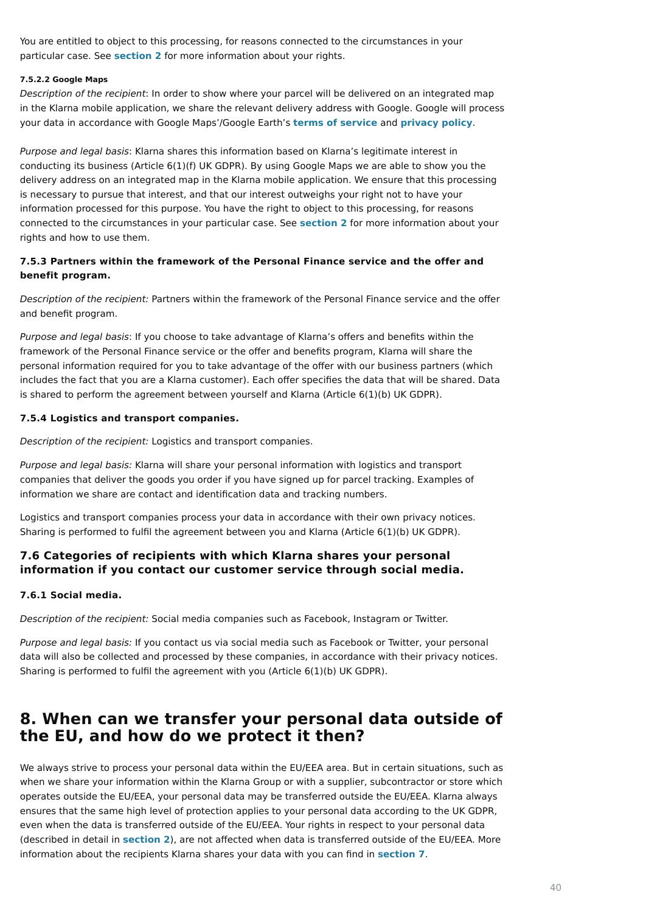You are entitled to object to this processing, for reasons connected to the circumstances in your particular case. See **[section 2](https://cdn.klarna.com/1.0/shared/content/legal/terms/0/en_gb/privacy#2)** for more information about your rights.

#### **7.5.2.2 Google Maps**

Description of the recipient: In order to show where your parcel will be delivered on an integrated map in the Klarna mobile application, we share the relevant delivery address with Google. Google will process your data in accordance with Google Maps'/Google Earth's **[terms of service](https://policies.google.com/terms?hl=en-GB&fg=1)** and **[privacy policy](https://policies.google.com/privacy?hl=en)**.

Purpose and legal basis: Klarna shares this information based on Klarna's legitimate interest in conducting its business (Article 6(1)(f) UK GDPR). By using Google Maps we are able to show you the delivery address on an integrated map in the Klarna mobile application. We ensure that this processing is necessary to pursue that interest, and that our interest outweighs your right not to have your information processed for this purpose. You have the right to object to this processing, for reasons connected to the circumstances in your particular case. See **[section 2](https://cdn.klarna.com/1.0/shared/content/legal/terms/0/en_gb/privacy#2)** for more information about your rights and how to use them.

Purpose and legal basis: If you choose to take advantage of Klarna's offers and benefits within the framework of the Personal Finance service or the offer and benefits program, Klarna will share the personal information required for you to take advantage of the offer with our business partners (which includes the fact that you are a Klarna customer). Each offer specifies the data that will be shared. Data is shared to perform the agreement between yourself and Klarna (Article 6(1)(b) UK GDPR).

### **7.5.3 Partners within the framework of the Personal Finance service and the offer and benefit program.**

Description of the recipient: Partners within the framework of the Personal Finance service and the offer and benefit program.

#### **7.5.4 Logistics and transport companies.**

Description of the recipient: Logistics and transport companies.

Purpose and legal basis: Klarna will share your personal information with logistics and transport companies that deliver the goods you order if you have signed up for parcel tracking. Examples of information we share are contact and identification data and tracking numbers.

Logistics and transport companies process your data in accordance with their own privacy notices. Sharing is performed to fulfil the agreement between you and Klarna (Article 6(1)(b) UK GDPR).

# **7.6 Categories of recipients with which Klarna shares your personal information if you contact our customer service through social media.**

### **7.6.1 Social media.**

Description of the recipient: Social media companies such as Facebook, Instagram or Twitter.

Purpose and legal basis: If you contact us via social media such as Facebook or Twitter, your personal data will also be collected and processed by these companies, in accordance with their privacy notices. Sharing is performed to fulfil the agreement with you (Article 6(1)(b) UK GDPR).

# **8. When can we transfer your personal data outside of the EU, and how do we protect it then?**

We always strive to process your personal data within the EU/EEA area. But in certain situations, such as when we share your information within the Klarna Group or with a supplier, subcontractor or store which operates outside the EU/EEA, your personal data may be transferred outside the EU/EEA. Klarna always ensures that the same high level of protection applies to your personal data according to the UK GDPR, even when the data is transferred outside of the EU/EEA. Your rights in respect to your personal data (described in detail in **[section 2](https://cdn.klarna.com/1.0/shared/content/legal/terms/0/en_gb/privacy#2)**), are not affected when data is transferred outside of the EU/EEA. More information about the recipients Klarna shares your data with you can find in **[section 7](https://cdn.klarna.com/1.0/shared/content/legal/terms/0/en_gb/privacy#7)**.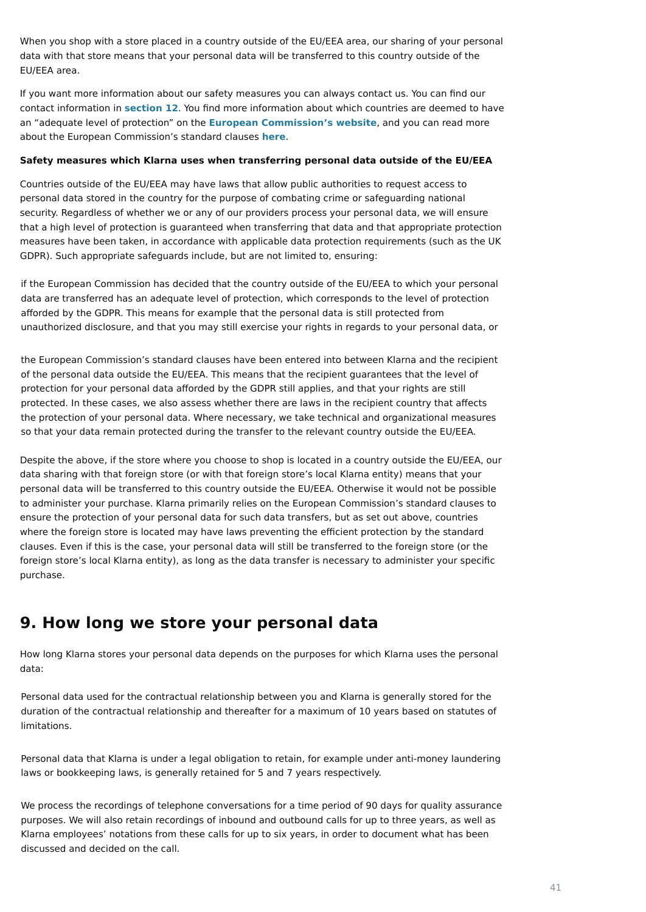When you shop with a store placed in a country outside of the EU/EEA area, our sharing of your personal data with that store means that your personal data will be transferred to this country outside of the EU/EEA area.

If you want more information about our safety measures you can always contact us. You can find our contact information in **[section 12](https://cdn.klarna.com/1.0/shared/content/legal/terms/0/en_gb/privacy#12)**. You find more information about which countries are deemed to have an "adequate level of protection" on the **[European Commission's website](https://ec.europa.eu/info/law/law-topic/data-protection/international-dimension-data-protection_en)**, and you can read more about the European Commission's standard clauses **[here](https://ec.europa.eu/info/law/law-topic/data-protection/international-dimension-data-protection/standard-contractual-clauses-scc_en)**.

#### **Safety measures which Klarna uses when transferring personal data outside of the EU/EEA**

Countries outside of the EU/EEA may have laws that allow public authorities to request access to personal data stored in the country for the purpose of combating crime or safeguarding national security. Regardless of whether we or any of our providers process your personal data, we will ensure that a high level of protection is guaranteed when transferring that data and that appropriate protection measures have been taken, in accordance with applicable data protection requirements (such as the UK GDPR). Such appropriate safeguards include, but are not limited to, ensuring:

Despite the above, if the store where you choose to shop is located in a country outside the EU/EEA, our data sharing with that foreign store (or with that foreign store's local Klarna entity) means that your personal data will be transferred to this country outside the EU/EEA. Otherwise it would not be possible to administer your purchase. Klarna primarily relies on the European Commission's standard clauses to ensure the protection of your personal data for such data transfers, but as set out above, countries where the foreign store is located may have laws preventing the efficient protection by the standard clauses. Even if this is the case, your personal data will still be transferred to the foreign store (or the foreign store's local Klarna entity), as long as the data transfer is necessary to administer your specific purchase.

# **9. How long we store your personal data**

How long Klarna stores your personal data depends on the purposes for which Klarna uses the personal data:

if the European Commission has decided that the country outside of the EU/EEA to which your personal data are transferred has an adequate level of protection, which corresponds to the level of protection afforded by the GDPR. This means for example that the personal data is still protected from unauthorized disclosure, and that you may still exercise your rights in regards to your personal data, or

the European Commission's standard clauses have been entered into between Klarna and the recipient of the personal data outside the EU/EEA. This means that the recipient guarantees that the level of protection for your personal data afforded by the GDPR still applies, and that your rights are still protected. In these cases, we also assess whether there are laws in the recipient country that affects the protection of your personal data. Where necessary, we take technical and organizational measures so that your data remain protected during the transfer to the relevant country outside the EU/EEA.

Personal data used for the contractual relationship between you and Klarna is generally stored for the duration of the contractual relationship and thereafter for a maximum of 10 years based on statutes of limitations.

Personal data that Klarna is under a legal obligation to retain, for example under anti-money laundering laws or bookkeeping laws, is generally retained for 5 and 7 years respectively.

We process the recordings of telephone conversations for a time period of 90 days for quality assurance purposes. We will also retain recordings of inbound and outbound calls for up to three years, as well as Klarna employees' notations from these calls for up to six years, in order to document what has been discussed and decided on the call.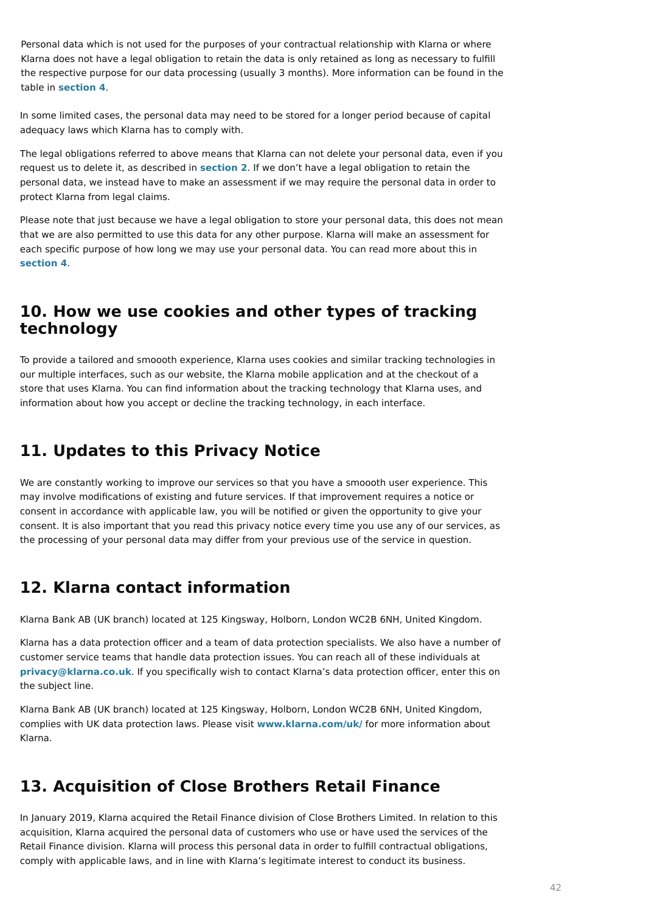In some limited cases, the personal data may need to be stored for a longer period because of capital adequacy laws which Klarna has to comply with.

The legal obligations referred to above means that Klarna can not delete your personal data, even if you request us to delete it, as described in **[section 2](https://cdn.klarna.com/1.0/shared/content/legal/terms/0/en_gb/privacy#2)**. If we don't have a legal obligation to retain the personal data, we instead have to make an assessment if we may require the personal data in order to protect Klarna from legal claims.

Please note that just because we have a legal obligation to store your personal data, this does not mean that we are also permitted to use this data for any other purpose. Klarna will make an assessment for each specific purpose of how long we may use your personal data. You can read more about this in **[section 4](https://cdn.klarna.com/1.0/shared/content/legal/terms/0/en_gb/privacy#4)**.

# **10. How we use cookies and other types of tracking technology**

To provide a tailored and smoooth experience, Klarna uses cookies and similar tracking technologies in our multiple interfaces, such as our website, the Klarna mobile application and at the checkout of a store that uses Klarna. You can find information about the tracking technology that Klarna uses, and information about how you accept or decline the tracking technology, in each interface.

# **11. Updates to this Privacy Notice**

We are constantly working to improve our services so that you have a smoooth user experience. This may involve modifications of existing and future services. If that improvement requires a notice or consent in accordance with applicable law, you will be notified or given the opportunity to give your consent. It is also important that you read this privacy notice every time you use any of our services, as the processing of your personal data may differ from your previous use of the service in question.

# **12. Klarna contact information**

Klarna Bank AB (UK branch) located at 125 Kingsway, Holborn, London WC2B 6NH, United Kingdom.

Klarna has a data protection officer and a team of data protection specialists. We also have a number of customer service teams that handle data protection issues. You can reach all of these individuals at **[privacy@klarna.co.uk](mailto:privacy@klarna.co.uk)**. If you specifically wish to contact Klarna's data protection officer, enter this on the subject line.

Klarna Bank AB (UK branch) located at 125 Kingsway, Holborn, London WC2B 6NH, United Kingdom, complies with UK data protection laws. Please visit **www.klarna.com/uk/** for more information about Klarna.

# **13. Acquisition of Close Brothers Retail Finance**

In January 2019, Klarna acquired the Retail Finance division of Close Brothers Limited. In relation to this acquisition, Klarna acquired the personal data of customers who use or have used the services of the Retail Finance division. Klarna will process this personal data in order to fulfill contractual obligations, comply with applicable laws, and in line with Klarna's legitimate interest to conduct its business.

Personal data which is not used for the purposes of your contractual relationship with Klarna or where Klarna does not have a legal obligation to retain the data is only retained as long as necessary to fulfill the respective purpose for our data processing (usually 3 months). More information can be found in the table in **[section 4](https://cdn.klarna.com/1.0/shared/content/legal/terms/0/en_gb/privacy#4)**.